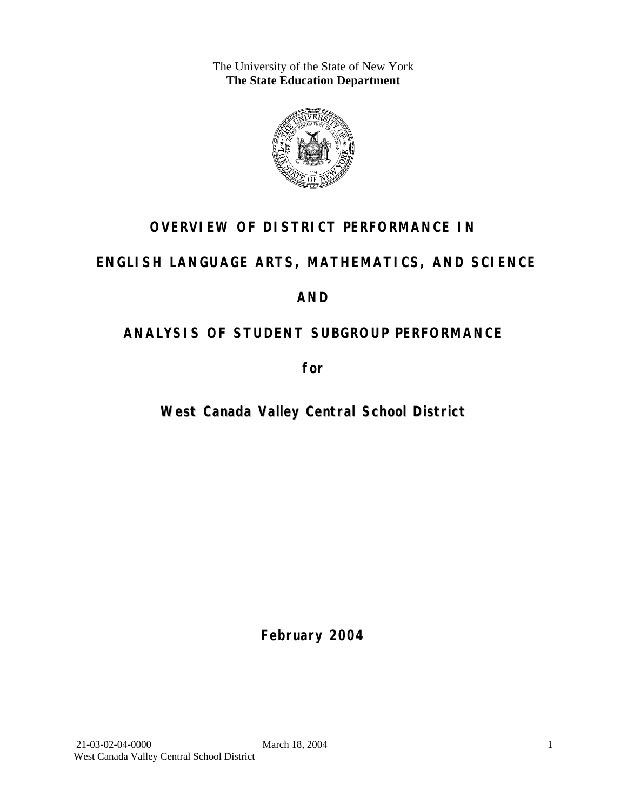The University of the State of New York **The State Education Department** 



# **OVERVIEW OF DISTRICT PERFORMANCE IN**

# **ENGLISH LANGUAGE ARTS, MATHEMATICS, AND SCIENCE**

# **AND**

# **ANALYSIS OF STUDENT SUBGROUP PERFORMANCE**

**for** 

# **West Canada Valley Central School District**

**February 2004**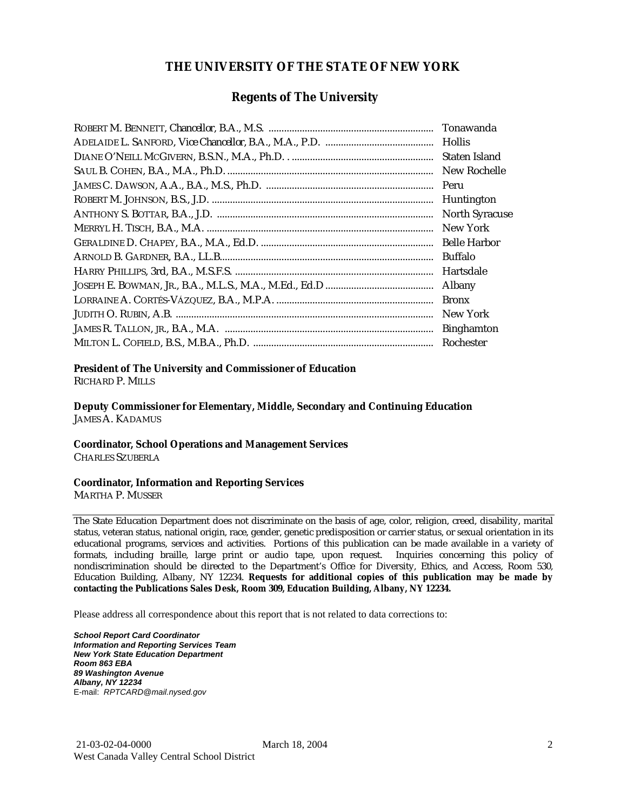### **THE UNIVERSITY OF THE STATE OF NEW YORK**

### **Regents of The University**

| Tonawanda             |
|-----------------------|
| <b>Hollis</b>         |
| Staten Island         |
| New Rochelle          |
| Peru                  |
| Huntington            |
| <b>North Syracuse</b> |
| New York              |
| <b>Belle Harbor</b>   |
| <b>Buffalo</b>        |
| Hartsdale             |
| Albany                |
| <b>Bronx</b>          |
| New York              |
| <b>Binghamton</b>     |
| Rochester             |

#### **President of The University and Commissioner of Education**

RICHARD P. MILLS

**Deputy Commissioner for Elementary, Middle, Secondary and Continuing Education**  JAMES A. KADAMUS

#### **Coordinator, School Operations and Management Services**

CHARLES SZUBERLA

#### **Coordinator, Information and Reporting Services**

MARTHA P. MUSSER

The State Education Department does not discriminate on the basis of age, color, religion, creed, disability, marital status, veteran status, national origin, race, gender, genetic predisposition or carrier status, or sexual orientation in its educational programs, services and activities. Portions of this publication can be made available in a variety of formats, including braille, large print or audio tape, upon request. Inquiries concerning this policy of nondiscrimination should be directed to the Department's Office for Diversity, Ethics, and Access, Room 530, Education Building, Albany, NY 12234. **Requests for additional copies of this publication may be made by contacting the Publications Sales Desk, Room 309, Education Building, Albany, NY 12234.** 

Please address all correspondence about this report that is not related to data corrections to:

*School Report Card Coordinator Information and Reporting Services Team New York State Education Department Room 863 EBA 89 Washington Avenue Albany, NY 12234*  E-mail: *RPTCARD@mail.nysed.gov*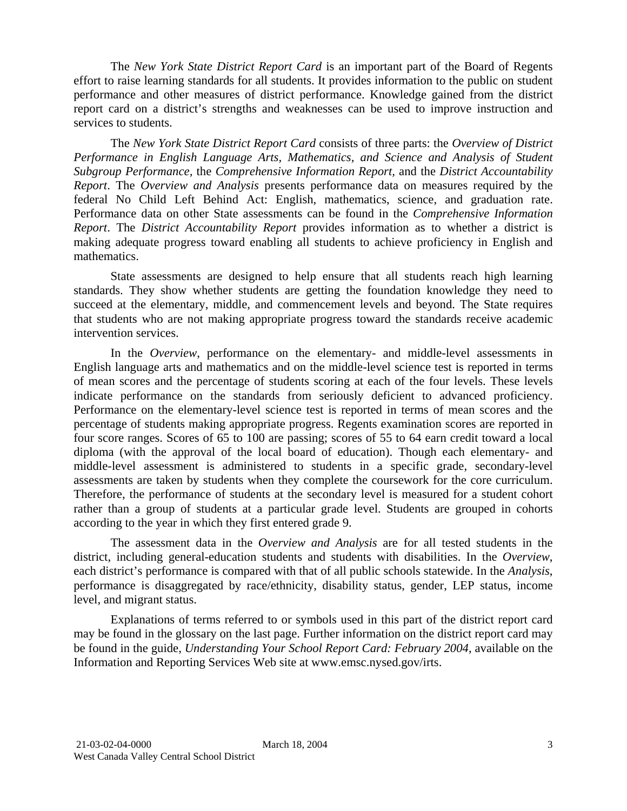The *New York State District Report Card* is an important part of the Board of Regents effort to raise learning standards for all students. It provides information to the public on student performance and other measures of district performance. Knowledge gained from the district report card on a district's strengths and weaknesses can be used to improve instruction and services to students.

The *New York State District Report Card* consists of three parts: the *Overview of District Performance in English Language Arts, Mathematics, and Science and Analysis of Student Subgroup Performance,* the *Comprehensive Information Report,* and the *District Accountability Report*. The *Overview and Analysis* presents performance data on measures required by the federal No Child Left Behind Act: English, mathematics, science, and graduation rate. Performance data on other State assessments can be found in the *Comprehensive Information Report*. The *District Accountability Report* provides information as to whether a district is making adequate progress toward enabling all students to achieve proficiency in English and mathematics.

State assessments are designed to help ensure that all students reach high learning standards. They show whether students are getting the foundation knowledge they need to succeed at the elementary, middle, and commencement levels and beyond. The State requires that students who are not making appropriate progress toward the standards receive academic intervention services.

In the *Overview*, performance on the elementary- and middle-level assessments in English language arts and mathematics and on the middle-level science test is reported in terms of mean scores and the percentage of students scoring at each of the four levels. These levels indicate performance on the standards from seriously deficient to advanced proficiency. Performance on the elementary-level science test is reported in terms of mean scores and the percentage of students making appropriate progress. Regents examination scores are reported in four score ranges. Scores of 65 to 100 are passing; scores of 55 to 64 earn credit toward a local diploma (with the approval of the local board of education). Though each elementary- and middle-level assessment is administered to students in a specific grade, secondary-level assessments are taken by students when they complete the coursework for the core curriculum. Therefore, the performance of students at the secondary level is measured for a student cohort rather than a group of students at a particular grade level. Students are grouped in cohorts according to the year in which they first entered grade 9.

The assessment data in the *Overview and Analysis* are for all tested students in the district, including general-education students and students with disabilities. In the *Overview*, each district's performance is compared with that of all public schools statewide. In the *Analysis*, performance is disaggregated by race/ethnicity, disability status, gender, LEP status, income level, and migrant status.

Explanations of terms referred to or symbols used in this part of the district report card may be found in the glossary on the last page. Further information on the district report card may be found in the guide, *Understanding Your School Report Card: February 2004*, available on the Information and Reporting Services Web site at www.emsc.nysed.gov/irts.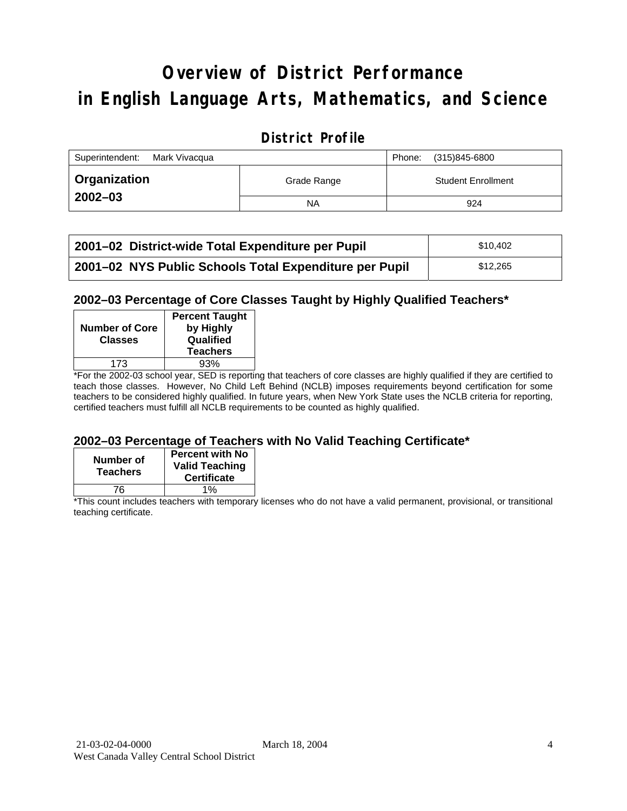# **Overview of District Performance in English Language Arts, Mathematics, and Science**

### **District Profile**

| Superintendent:<br>Mark Vivacqua |             | Phone: | (315)845-6800             |
|----------------------------------|-------------|--------|---------------------------|
| <b>Organization</b>              | Grade Range |        | <b>Student Enrollment</b> |
| $2002 - 03$                      | <b>NA</b>   |        | 924                       |

| 2001–02 District-wide Total Expenditure per Pupil      | \$10,402 |
|--------------------------------------------------------|----------|
| 2001-02 NYS Public Schools Total Expenditure per Pupil | \$12,265 |

### **2002–03 Percentage of Core Classes Taught by Highly Qualified Teachers\***

| <b>Number of Core</b><br><b>Classes</b> | <b>Percent Taught</b><br>by Highly<br>Qualified<br><b>Teachers</b> |
|-----------------------------------------|--------------------------------------------------------------------|
| 173                                     | 93%                                                                |
| . .<br>--<br>---                        |                                                                    |

\*For the 2002-03 school year, SED is reporting that teachers of core classes are highly qualified if they are certified to teach those classes. However, No Child Left Behind (NCLB) imposes requirements beyond certification for some teachers to be considered highly qualified. In future years, when New York State uses the NCLB criteria for reporting, certified teachers must fulfill all NCLB requirements to be counted as highly qualified.

### **2002–03 Percentage of Teachers with No Valid Teaching Certificate\***

| Number of<br><b>Teachers</b> | <b>Percent with No</b><br><b>Valid Teaching</b><br><b>Certificate</b> |
|------------------------------|-----------------------------------------------------------------------|
| 76.                          | 1%                                                                    |

\*This count includes teachers with temporary licenses who do not have a valid permanent, provisional, or transitional teaching certificate.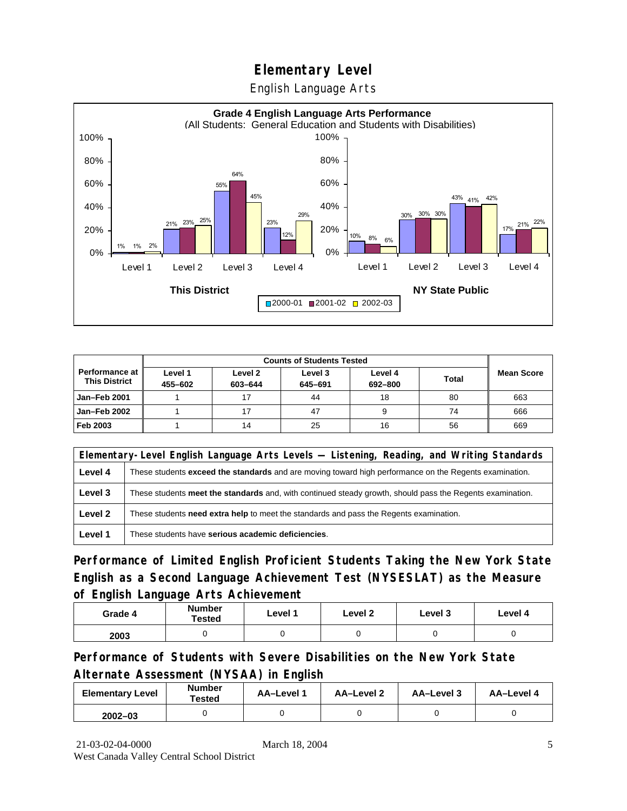English Language Arts



| <b>Counts of Students Tested</b>              |                    |                    |                    |                    |              |                   |
|-----------------------------------------------|--------------------|--------------------|--------------------|--------------------|--------------|-------------------|
| <b>Performance at</b><br><b>This District</b> | Level 1<br>455-602 | Level 2<br>603-644 | Level 3<br>645-691 | Level 4<br>692-800 | <b>Total</b> | <b>Mean Score</b> |
| Jan-Feb 2001                                  |                    |                    | 44                 | 18                 | 80           | 663               |
| Jan-Feb 2002                                  |                    |                    | 47                 |                    | 74           | 666               |
| Feb 2003                                      |                    | 14                 | 25                 | 16                 | 56           | 669               |

|         | Elementary-Level English Language Arts Levels — Listening, Reading, and Writing Standards                 |  |  |  |  |  |
|---------|-----------------------------------------------------------------------------------------------------------|--|--|--|--|--|
| Level 4 | These students exceed the standards and are moving toward high performance on the Regents examination.    |  |  |  |  |  |
| Level 3 | These students meet the standards and, with continued steady growth, should pass the Regents examination. |  |  |  |  |  |
| Level 2 | These students <b>need extra help</b> to meet the standards and pass the Regents examination.             |  |  |  |  |  |
| Level 1 | These students have serious academic deficiencies.                                                        |  |  |  |  |  |

**Performance of Limited English Proficient Students Taking the New York State English as a Second Language Achievement Test (NYSESLAT) as the Measure of English Language Arts Achievement**

| Grade 4 | <b>Number</b><br>Tested | Level 1 | Level 2 | Level 3 | Level 4 |
|---------|-------------------------|---------|---------|---------|---------|
| 2003    |                         |         |         |         |         |

**Performance of Students with Severe Disabilities on the New York State Alternate Assessment (NYSAA) in English** 

| <b>Elementary Level</b> | <b>Number</b><br>Tested | AA-Level | AA-Level 2 | AA-Level 3 | AA-Level 4 |
|-------------------------|-------------------------|----------|------------|------------|------------|
| $2002 - 03$             |                         |          |            |            |            |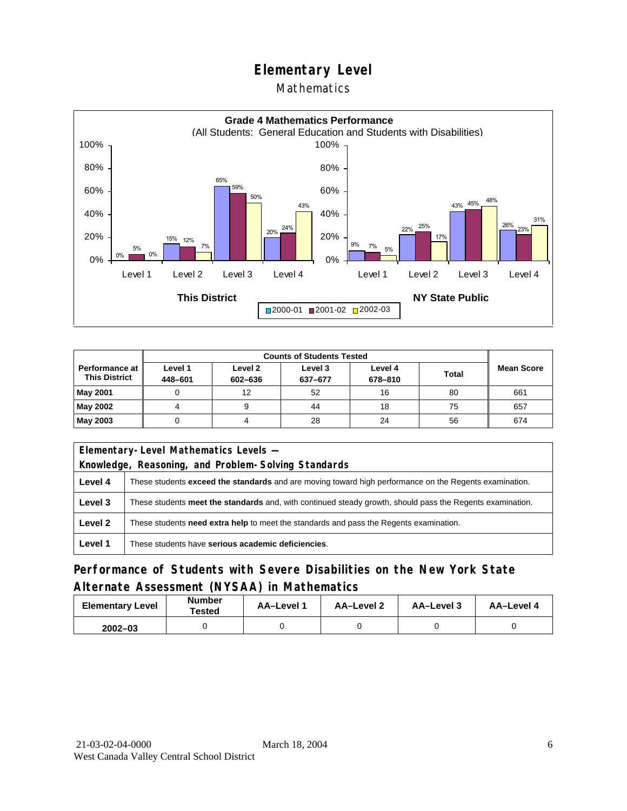### Mathematics



| <b>Counts of Students Tested</b>       |                    |                    |                    |                    |              |                   |
|----------------------------------------|--------------------|--------------------|--------------------|--------------------|--------------|-------------------|
| Performance at<br><b>This District</b> | Level 1<br>448-601 | Level 2<br>602-636 | Level 3<br>637-677 | Level 4<br>678-810 | <b>Total</b> | <b>Mean Score</b> |
| <b>May 2001</b>                        |                    | 12                 | 52                 | 16                 | 80           | 661               |
| May 2002                               |                    |                    | 44                 | 18                 | 75           | 657               |
| May 2003                               |                    |                    | 28                 | 24                 | 56           | 674               |

| Elementary-Level Mathematics Levels - |                                                                                                               |  |  |  |
|---------------------------------------|---------------------------------------------------------------------------------------------------------------|--|--|--|
|                                       | Knowledge, Reasoning, and Problem-Solving Standards                                                           |  |  |  |
| Level 4                               | These students <b>exceed the standards</b> and are moving toward high performance on the Regents examination. |  |  |  |
| Level 3                               | These students meet the standards and, with continued steady growth, should pass the Regents examination.     |  |  |  |
| Level 2                               | These students need extra help to meet the standards and pass the Regents examination.                        |  |  |  |
| Level 1                               | These students have serious academic deficiencies.                                                            |  |  |  |

## **Performance of Students with Severe Disabilities on the New York State Alternate Assessment (NYSAA) in Mathematics**

| <b>Elementary Level</b> | <b>Number</b><br>Tested | AA-Level 1 | AA-Level 2 | AA-Level 3 | AA-Level 4 |
|-------------------------|-------------------------|------------|------------|------------|------------|
| $2002 - 03$             |                         |            |            |            |            |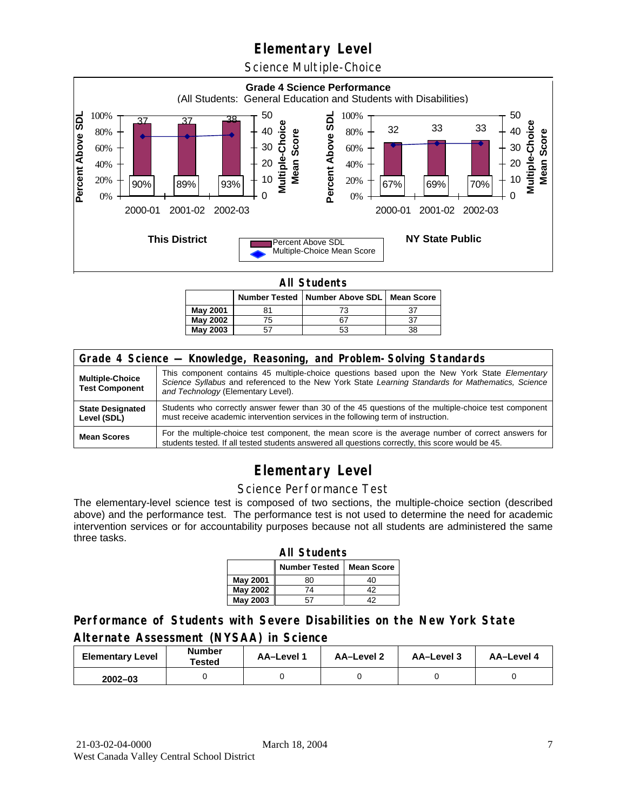Science Multiple-Choice



**All Students** 

|          |    | Number Tested   Number Above SDL   Mean Score |    |  |  |  |
|----------|----|-----------------------------------------------|----|--|--|--|
| May 2001 |    |                                               | 37 |  |  |  |
| May 2002 | 75 |                                               | 37 |  |  |  |
| May 2003 |    | 53                                            | 38 |  |  |  |

| Grade 4 Science - Knowledge, Reasoning, and Problem-Solving Standards |                                                                                                                                                                                                                                          |  |  |  |  |
|-----------------------------------------------------------------------|------------------------------------------------------------------------------------------------------------------------------------------------------------------------------------------------------------------------------------------|--|--|--|--|
| <b>Multiple-Choice</b><br><b>Test Component</b>                       | This component contains 45 multiple-choice questions based upon the New York State Elementary<br>Science Syllabus and referenced to the New York State Learning Standards for Mathematics, Science<br>and Technology (Elementary Level). |  |  |  |  |
| <b>State Designated</b><br>Level (SDL)                                | Students who correctly answer fewer than 30 of the 45 questions of the multiple-choice test component<br>must receive academic intervention services in the following term of instruction.                                               |  |  |  |  |
| <b>Mean Scores</b>                                                    | For the multiple-choice test component, the mean score is the average number of correct answers for<br>students tested. If all tested students answered all questions correctly, this score would be 45.                                 |  |  |  |  |

# **Elementary Level**

#### Science Performance Test

The elementary-level science test is composed of two sections, the multiple-choice section (described above) and the performance test. The performance test is not used to determine the need for academic intervention services or for accountability purposes because not all students are administered the same three tasks.

| <b>All Students</b>                  |    |    |  |  |  |  |  |
|--------------------------------------|----|----|--|--|--|--|--|
| <b>Number Tested</b><br>Mean Score I |    |    |  |  |  |  |  |
| <b>May 2001</b>                      | 80 | 40 |  |  |  |  |  |
| May 2002                             | 74 | 42 |  |  |  |  |  |
| <b>May 2003</b>                      | 42 |    |  |  |  |  |  |

### **Performance of Students with Severe Disabilities on the New York State Alternate Assessment (NYSAA) in Science**

| <b>Elementary Level</b> | <b>Number</b><br>Tested | AA-Level | AA-Level 2 | AA-Level 3 | AA-Level 4 |
|-------------------------|-------------------------|----------|------------|------------|------------|
| $2002 - 03$             |                         |          |            |            |            |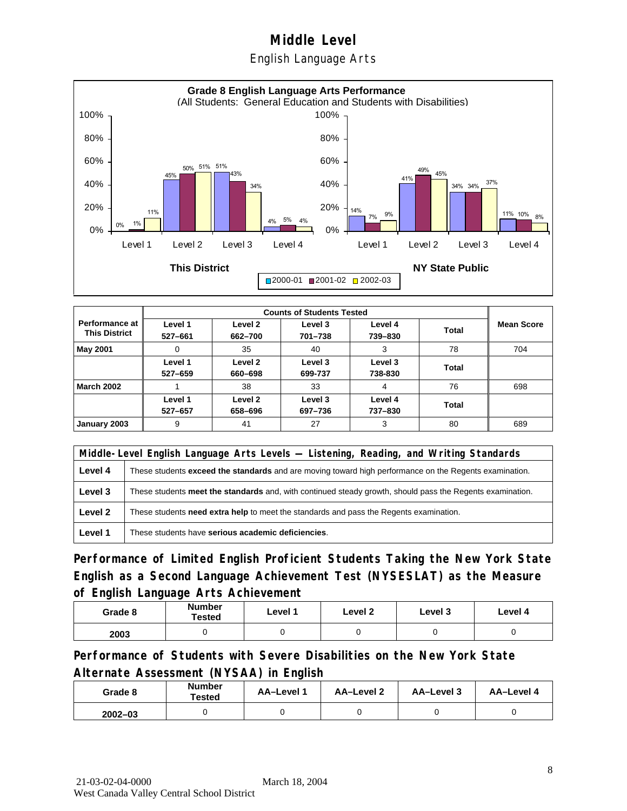English Language Arts



|                                        |                    | <b>Counts of Students Tested</b> |                    |                    |       |                   |  |  |
|----------------------------------------|--------------------|----------------------------------|--------------------|--------------------|-------|-------------------|--|--|
| Performance at<br><b>This District</b> | Level 1<br>527-661 | Level 2<br>662-700               | Level 3<br>701-738 | Level 4<br>739-830 | Total | <b>Mean Score</b> |  |  |
| <b>May 2001</b>                        | 0                  | 35                               | 40                 | 3                  | 78    | 704               |  |  |
|                                        | Level 1<br>527-659 | Level 2<br>660-698               | Level 3<br>699-737 | Level 3<br>738-830 | Total |                   |  |  |
| <b>March 2002</b>                      |                    | 38                               | 33                 | 4                  | 76    | 698               |  |  |
|                                        | Level 1<br>527-657 | Level 2<br>658-696               | Level 3<br>697-736 | Level 4<br>737-830 | Total |                   |  |  |
| January 2003                           | 9                  | 41                               | 27                 | 3                  | 80    | 689               |  |  |

|         | Middle-Level English Language Arts Levels — Listening, Reading, and Writing Standards                         |  |  |  |  |
|---------|---------------------------------------------------------------------------------------------------------------|--|--|--|--|
| Level 4 | These students <b>exceed the standards</b> and are moving toward high performance on the Regents examination. |  |  |  |  |
| Level 3 | These students meet the standards and, with continued steady growth, should pass the Regents examination.     |  |  |  |  |
| Level 2 | These students need extra help to meet the standards and pass the Regents examination.                        |  |  |  |  |
| Level 1 | These students have serious academic deficiencies.                                                            |  |  |  |  |

**Performance of Limited English Proficient Students Taking the New York State English as a Second Language Achievement Test (NYSESLAT) as the Measure of English Language Arts Achievement**

| Grade 8 | Number<br>Tested | Level 1 | Level 2 | Level 3 | Level 4 |
|---------|------------------|---------|---------|---------|---------|
| 2003    |                  |         |         |         |         |

**Performance of Students with Severe Disabilities on the New York State Alternate Assessment (NYSAA) in English** 

| Grade 8     | <b>Number</b><br>Tested | AA-Level 1 | AA-Level 2 | AA-Level 3 | AA-Level 4 |
|-------------|-------------------------|------------|------------|------------|------------|
| $2002 - 03$ |                         |            |            |            |            |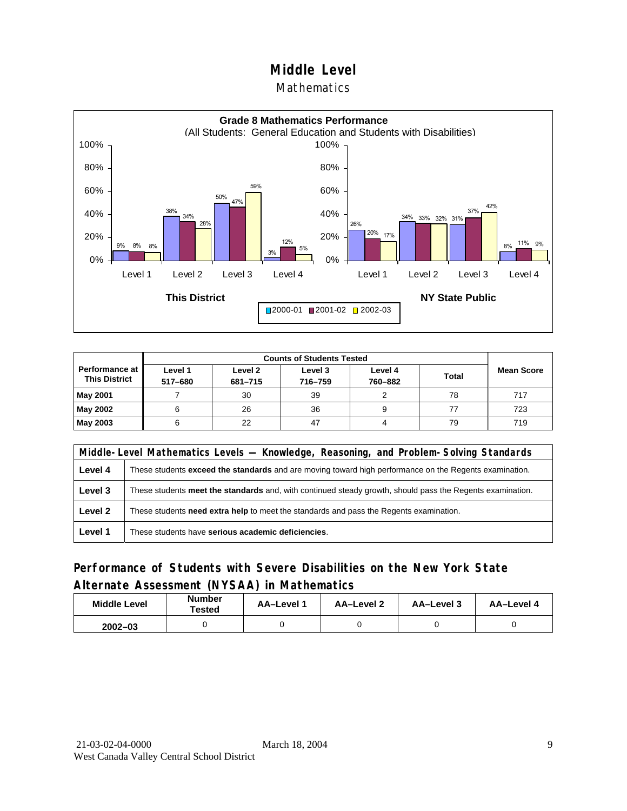### **Mathematics**



| Performance at<br><b>This District</b> | Level 1<br>517-680 | Level 2<br>681-715 | Level 3<br>716-759 | Level 4<br>760-882 | <b>Total</b> | <b>Mean Score</b> |
|----------------------------------------|--------------------|--------------------|--------------------|--------------------|--------------|-------------------|
| <b>May 2001</b>                        |                    | 30                 | 39                 |                    | 78           | 717               |
| May 2002                               |                    | 26                 | 36                 | 9                  |              | 723               |
| May 2003                               |                    | 22                 | 47                 |                    | 79           | 719               |

|         | Middle-Level Mathematics Levels — Knowledge, Reasoning, and Problem-Solving Standards                         |  |  |  |  |
|---------|---------------------------------------------------------------------------------------------------------------|--|--|--|--|
| Level 4 | These students <b>exceed the standards</b> and are moving toward high performance on the Regents examination. |  |  |  |  |
| Level 3 | These students meet the standards and, with continued steady growth, should pass the Regents examination.     |  |  |  |  |
| Level 2 | These students <b>need extra help</b> to meet the standards and pass the Regents examination.                 |  |  |  |  |
| Level 1 | These students have serious academic deficiencies.                                                            |  |  |  |  |

### **Performance of Students with Severe Disabilities on the New York State Alternate Assessment (NYSAA) in Mathematics**

| <b>Middle Level</b> | <b>Number</b><br>Tested | <b>AA–Level</b> 1 | AA-Level 2 | AA-Level 3 | AA-Level 4 |
|---------------------|-------------------------|-------------------|------------|------------|------------|
| $2002 - 03$         |                         |                   |            |            |            |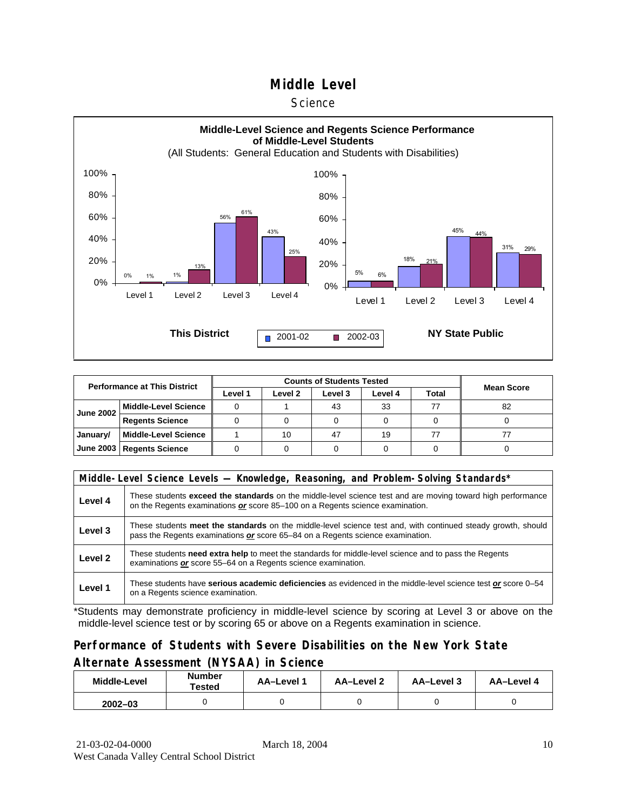#### **Science**



| <b>Performance at This District</b> |                             |         |         |         |         |              |                   |
|-------------------------------------|-----------------------------|---------|---------|---------|---------|--------------|-------------------|
|                                     |                             | Level 1 | Level 2 | Level 3 | Level 4 | <b>Total</b> | <b>Mean Score</b> |
| <b>June 2002</b>                    | <b>Middle-Level Science</b> |         |         | 43      | 33      | 77           | 82                |
|                                     | <b>Regents Science</b>      |         |         |         |         |              |                   |
| January/                            | <b>Middle-Level Science</b> |         | 10      | 47      | 19      | 77           |                   |
|                                     | June 2003   Regents Science |         |         |         |         |              |                   |

|         | Middle-Level Science Levels — Knowledge, Reasoning, and Problem-Solving Standards*                                                                                                             |  |  |  |  |  |  |  |  |
|---------|------------------------------------------------------------------------------------------------------------------------------------------------------------------------------------------------|--|--|--|--|--|--|--|--|
| Level 4 | These students exceed the standards on the middle-level science test and are moving toward high performance<br>on the Regents examinations or score 85-100 on a Regents science examination.   |  |  |  |  |  |  |  |  |
| Level 3 | These students meet the standards on the middle-level science test and, with continued steady growth, should<br>pass the Regents examinations or score 65–84 on a Regents science examination. |  |  |  |  |  |  |  |  |
| Level 2 | These students need extra help to meet the standards for middle-level science and to pass the Regents<br>examinations or score 55-64 on a Regents science examination.                         |  |  |  |  |  |  |  |  |
| Level 1 | These students have serious academic deficiencies as evidenced in the middle-level science test or score 0–54<br>on a Regents science examination.                                             |  |  |  |  |  |  |  |  |

\*Students may demonstrate proficiency in middle-level science by scoring at Level 3 or above on the middle-level science test or by scoring 65 or above on a Regents examination in science.

### **Performance of Students with Severe Disabilities on the New York State Alternate Assessment (NYSAA) in Science**

| Middle-Level | Number<br>Tested | <b>AA-Level 1</b> | AA-Level 2 | AA-Level 3 | AA-Level 4 |  |
|--------------|------------------|-------------------|------------|------------|------------|--|
| $2002 - 03$  |                  |                   |            |            |            |  |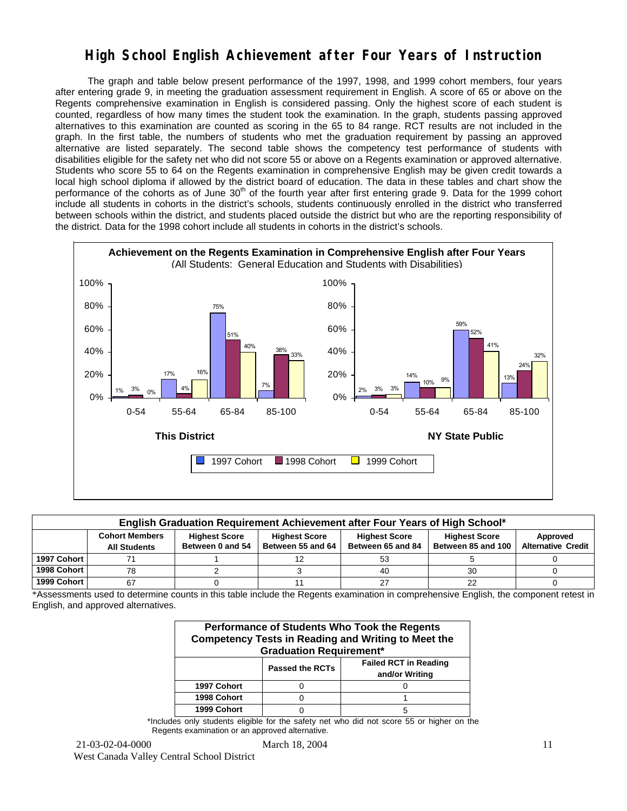## **High School English Achievement after Four Years of Instruction**

 The graph and table below present performance of the 1997, 1998, and 1999 cohort members, four years after entering grade 9, in meeting the graduation assessment requirement in English. A score of 65 or above on the Regents comprehensive examination in English is considered passing. Only the highest score of each student is counted, regardless of how many times the student took the examination. In the graph, students passing approved alternatives to this examination are counted as scoring in the 65 to 84 range. RCT results are not included in the graph. In the first table, the numbers of students who met the graduation requirement by passing an approved alternative are listed separately. The second table shows the competency test performance of students with disabilities eligible for the safety net who did not score 55 or above on a Regents examination or approved alternative. Students who score 55 to 64 on the Regents examination in comprehensive English may be given credit towards a local high school diploma if allowed by the district board of education. The data in these tables and chart show the performance of the cohorts as of June  $30<sup>th</sup>$  of the fourth year after first entering grade 9. Data for the 1999 cohort include all students in cohorts in the district's schools, students continuously enrolled in the district who transferred between schools within the district, and students placed outside the district but who are the reporting responsibility of the district. Data for the 1998 cohort include all students in cohorts in the district's schools.



| English Graduation Requirement Achievement after Four Years of High School* |                                                                                                                                                                                                                                                                           |  |  |    |    |  |  |  |  |  |  |
|-----------------------------------------------------------------------------|---------------------------------------------------------------------------------------------------------------------------------------------------------------------------------------------------------------------------------------------------------------------------|--|--|----|----|--|--|--|--|--|--|
|                                                                             | <b>Cohort Members</b><br><b>Highest Score</b><br><b>Highest Score</b><br><b>Highest Score</b><br><b>Highest Score</b><br>Approved<br><b>Alternative Credit</b><br>Between 55 and 64<br>Between 85 and 100<br>Between 0 and 54<br>Between 65 and 84<br><b>All Students</b> |  |  |    |    |  |  |  |  |  |  |
| 1997 Cohort                                                                 |                                                                                                                                                                                                                                                                           |  |  | 53 |    |  |  |  |  |  |  |
| 1998 Cohort                                                                 | 78                                                                                                                                                                                                                                                                        |  |  | 40 | 30 |  |  |  |  |  |  |
| 1999 Cohort                                                                 | 67                                                                                                                                                                                                                                                                        |  |  |    | 22 |  |  |  |  |  |  |

\*Assessments used to determine counts in this table include the Regents examination in comprehensive English, the component retest in English, and approved alternatives.

| Performance of Students Who Took the Regents<br><b>Competency Tests in Reading and Writing to Meet the</b><br><b>Graduation Requirement*</b> |                                                                          |   |  |  |  |  |  |  |  |
|----------------------------------------------------------------------------------------------------------------------------------------------|--------------------------------------------------------------------------|---|--|--|--|--|--|--|--|
|                                                                                                                                              | <b>Failed RCT in Reading</b><br><b>Passed the RCTs</b><br>and/or Writing |   |  |  |  |  |  |  |  |
| 1997 Cohort                                                                                                                                  |                                                                          |   |  |  |  |  |  |  |  |
| 1998 Cohort                                                                                                                                  |                                                                          |   |  |  |  |  |  |  |  |
| 1999 Cohort                                                                                                                                  |                                                                          | 5 |  |  |  |  |  |  |  |

\*Includes only students eligible for the safety net who did not score 55 or higher on the Regents examination or an approved alternative.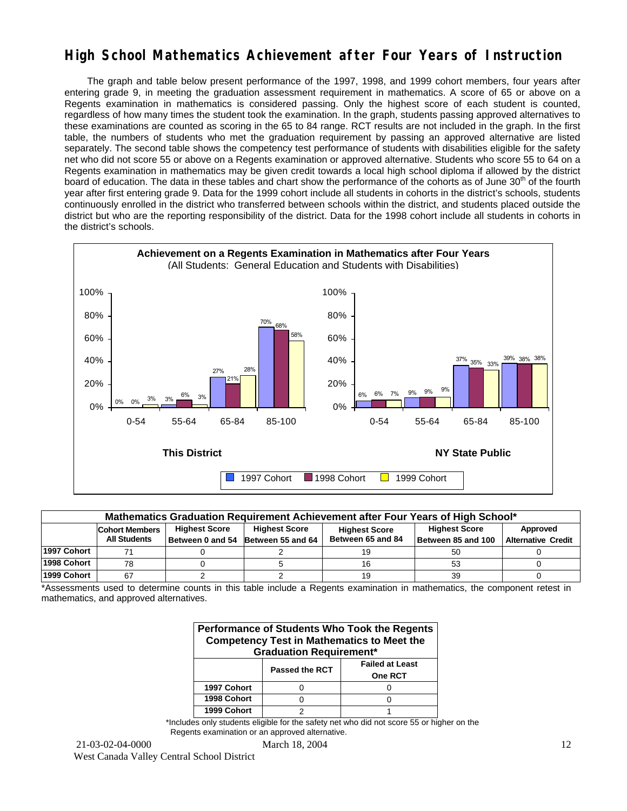## **High School Mathematics Achievement after Four Years of Instruction**

 The graph and table below present performance of the 1997, 1998, and 1999 cohort members, four years after entering grade 9, in meeting the graduation assessment requirement in mathematics. A score of 65 or above on a Regents examination in mathematics is considered passing. Only the highest score of each student is counted, regardless of how many times the student took the examination. In the graph, students passing approved alternatives to these examinations are counted as scoring in the 65 to 84 range. RCT results are not included in the graph. In the first table, the numbers of students who met the graduation requirement by passing an approved alternative are listed separately. The second table shows the competency test performance of students with disabilities eligible for the safety net who did not score 55 or above on a Regents examination or approved alternative. Students who score 55 to 64 on a Regents examination in mathematics may be given credit towards a local high school diploma if allowed by the district board of education. The data in these tables and chart show the performance of the cohorts as of June 30<sup>th</sup> of the fourth year after first entering grade 9. Data for the 1999 cohort include all students in cohorts in the district's schools, students continuously enrolled in the district who transferred between schools within the district, and students placed outside the district but who are the reporting responsibility of the district. Data for the 1998 cohort include all students in cohorts in the district's schools.



| Mathematics Graduation Requirement Achievement after Four Years of High School* |                                                                                                                                   |  |                                    |                   |                    |                           |  |  |  |  |  |
|---------------------------------------------------------------------------------|-----------------------------------------------------------------------------------------------------------------------------------|--|------------------------------------|-------------------|--------------------|---------------------------|--|--|--|--|--|
|                                                                                 | <b>Highest Score</b><br><b>Highest Score</b><br><b>Highest Score</b><br>Approved<br><b>Cohort Members</b><br><b>Highest Score</b> |  |                                    |                   |                    |                           |  |  |  |  |  |
|                                                                                 | <b>All Students</b>                                                                                                               |  | Between 0 and 54 Between 55 and 64 | Between 65 and 84 | Between 85 and 100 | <b>Alternative Credit</b> |  |  |  |  |  |
| 1997 Cohort                                                                     |                                                                                                                                   |  |                                    |                   | 50                 |                           |  |  |  |  |  |
| 1998 Cohort                                                                     | 78                                                                                                                                |  |                                    |                   | 53                 |                           |  |  |  |  |  |
| 1999 Cohort                                                                     | 67                                                                                                                                |  |                                    |                   | 39                 |                           |  |  |  |  |  |

\*Assessments used to determine counts in this table include a Regents examination in mathematics, the component retest in mathematics, and approved alternatives.

| Performance of Students Who Took the Regents<br><b>Competency Test in Mathematics to Meet the</b><br><b>Graduation Requirement*</b> |  |  |  |  |  |  |  |  |  |  |
|-------------------------------------------------------------------------------------------------------------------------------------|--|--|--|--|--|--|--|--|--|--|
| <b>Failed at Least</b><br><b>Passed the RCT</b><br>One RCT                                                                          |  |  |  |  |  |  |  |  |  |  |
| 1997 Cohort                                                                                                                         |  |  |  |  |  |  |  |  |  |  |
| 1998 Cohort                                                                                                                         |  |  |  |  |  |  |  |  |  |  |
| 1999 Cohort                                                                                                                         |  |  |  |  |  |  |  |  |  |  |

\*Includes only students eligible for the safety net who did not score 55 or higher on the Regents examination or an approved alternative.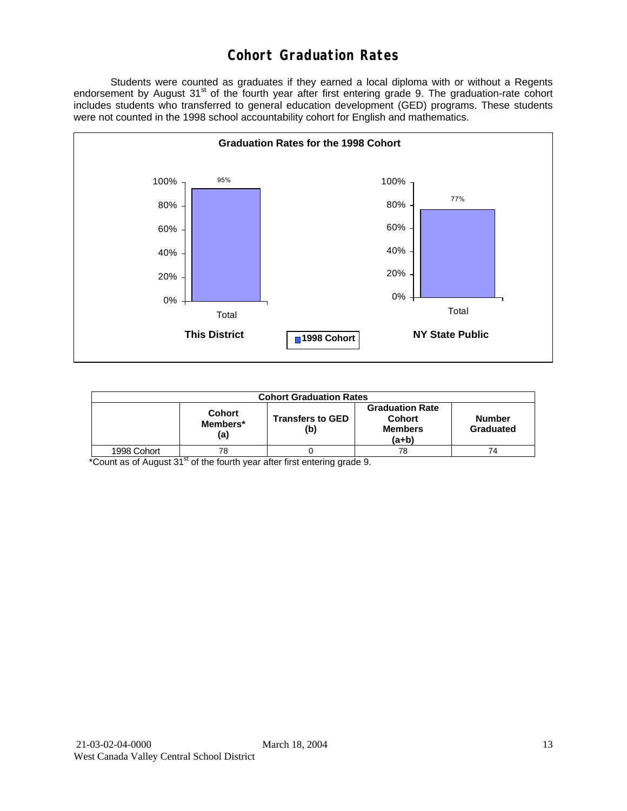## **Cohort Graduation Rates**

 Students were counted as graduates if they earned a local diploma with or without a Regents endorsement by August 31<sup>st</sup> of the fourth year after first entering grade 9. The graduation-rate cohort includes students who transferred to general education development (GED) programs. These students were not counted in the 1998 school accountability cohort for English and mathematics.



| <b>Cohort Graduation Rates</b> |                                  |                                |                                                             |                            |  |  |  |  |  |
|--------------------------------|----------------------------------|--------------------------------|-------------------------------------------------------------|----------------------------|--|--|--|--|--|
|                                | <b>Cohort</b><br>Members*<br>(a) | <b>Transfers to GED</b><br>(b) | <b>Graduation Rate</b><br>Cohort<br><b>Members</b><br>(a+b) | <b>Number</b><br>Graduated |  |  |  |  |  |
| 1998 Cohort                    | 78                               |                                | 78                                                          | 74                         |  |  |  |  |  |

\*Count as of August 31<sup>st</sup> of the fourth year after first entering grade 9.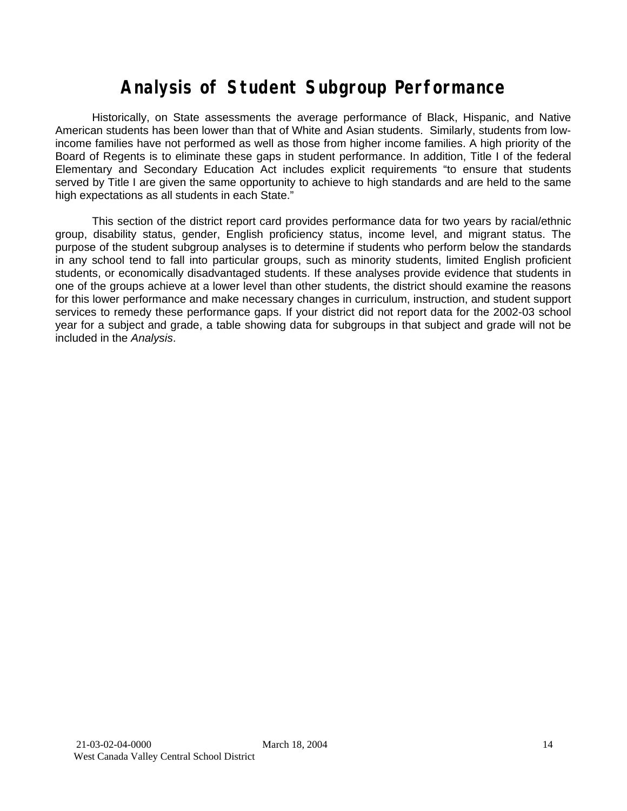# **Analysis of Student Subgroup Performance**

Historically, on State assessments the average performance of Black, Hispanic, and Native American students has been lower than that of White and Asian students. Similarly, students from lowincome families have not performed as well as those from higher income families. A high priority of the Board of Regents is to eliminate these gaps in student performance. In addition, Title I of the federal Elementary and Secondary Education Act includes explicit requirements "to ensure that students served by Title I are given the same opportunity to achieve to high standards and are held to the same high expectations as all students in each State."

This section of the district report card provides performance data for two years by racial/ethnic group, disability status, gender, English proficiency status, income level, and migrant status. The purpose of the student subgroup analyses is to determine if students who perform below the standards in any school tend to fall into particular groups, such as minority students, limited English proficient students, or economically disadvantaged students. If these analyses provide evidence that students in one of the groups achieve at a lower level than other students, the district should examine the reasons for this lower performance and make necessary changes in curriculum, instruction, and student support services to remedy these performance gaps. If your district did not report data for the 2002-03 school year for a subject and grade, a table showing data for subgroups in that subject and grade will not be included in the *Analysis*.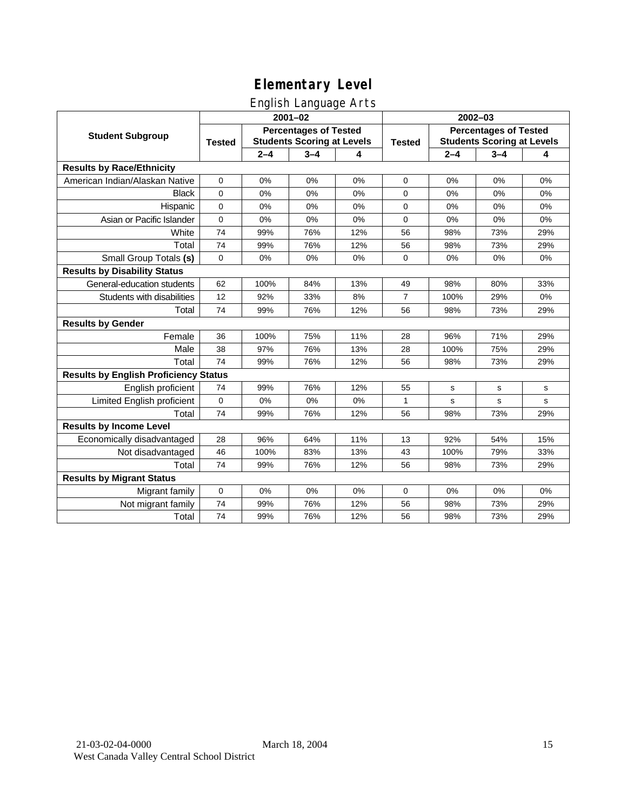English Language Arts

|                                              | ັ<br>$2001 - 02$                                                                   |         |         |               | 2002-03                                                           |         |         |     |
|----------------------------------------------|------------------------------------------------------------------------------------|---------|---------|---------------|-------------------------------------------------------------------|---------|---------|-----|
| <b>Student Subgroup</b>                      | <b>Percentages of Tested</b><br><b>Students Scoring at Levels</b><br><b>Tested</b> |         |         | <b>Tested</b> | <b>Percentages of Tested</b><br><b>Students Scoring at Levels</b> |         |         |     |
|                                              |                                                                                    | $2 - 4$ | $3 - 4$ | 4             |                                                                   | $2 - 4$ | $3 - 4$ | 4   |
| <b>Results by Race/Ethnicity</b>             |                                                                                    |         |         |               |                                                                   |         |         |     |
| American Indian/Alaskan Native               | 0                                                                                  | 0%      | 0%      | 0%            | $\mathbf 0$                                                       | 0%      | 0%      | 0%  |
| <b>Black</b>                                 | 0                                                                                  | 0%      | 0%      | 0%            | 0                                                                 | 0%      | 0%      | 0%  |
| Hispanic                                     | 0                                                                                  | 0%      | 0%      | 0%            | 0                                                                 | 0%      | 0%      | 0%  |
| Asian or Pacific Islander                    | 0                                                                                  | 0%      | 0%      | 0%            | $\mathbf 0$                                                       | 0%      | 0%      | 0%  |
| White                                        | 74                                                                                 | 99%     | 76%     | 12%           | 56                                                                | 98%     | 73%     | 29% |
| Total                                        | 74                                                                                 | 99%     | 76%     | 12%           | 56                                                                | 98%     | 73%     | 29% |
| Small Group Totals (s)                       | 0                                                                                  | 0%      | 0%      | 0%            | $\mathbf 0$                                                       | 0%      | 0%      | 0%  |
| <b>Results by Disability Status</b>          |                                                                                    |         |         |               |                                                                   |         |         |     |
| General-education students                   | 62                                                                                 | 100%    | 84%     | 13%           | 49                                                                | 98%     | 80%     | 33% |
| Students with disabilities                   | 12                                                                                 | 92%     | 33%     | 8%            | $\overline{7}$                                                    | 100%    | 29%     | 0%  |
| Total                                        | 74                                                                                 | 99%     | 76%     | 12%           | 56                                                                | 98%     | 73%     | 29% |
| <b>Results by Gender</b>                     |                                                                                    |         |         |               |                                                                   |         |         |     |
| Female                                       | 36                                                                                 | 100%    | 75%     | 11%           | 28                                                                | 96%     | 71%     | 29% |
| Male                                         | 38                                                                                 | 97%     | 76%     | 13%           | 28                                                                | 100%    | 75%     | 29% |
| Total                                        | 74                                                                                 | 99%     | 76%     | 12%           | 56                                                                | 98%     | 73%     | 29% |
| <b>Results by English Proficiency Status</b> |                                                                                    |         |         |               |                                                                   |         |         |     |
| English proficient                           | 74                                                                                 | 99%     | 76%     | 12%           | 55                                                                | s       | s       | s   |
| Limited English proficient                   | 0                                                                                  | 0%      | 0%      | 0%            | 1                                                                 | s       | s       | s   |
| Total                                        | 74                                                                                 | 99%     | 76%     | 12%           | 56                                                                | 98%     | 73%     | 29% |
| <b>Results by Income Level</b>               |                                                                                    |         |         |               |                                                                   |         |         |     |
| Economically disadvantaged                   | 28                                                                                 | 96%     | 64%     | 11%           | 13                                                                | 92%     | 54%     | 15% |
| Not disadvantaged                            | 46                                                                                 | 100%    | 83%     | 13%           | 43                                                                | 100%    | 79%     | 33% |
| Total                                        | 74                                                                                 | 99%     | 76%     | 12%           | 56                                                                | 98%     | 73%     | 29% |
| <b>Results by Migrant Status</b>             |                                                                                    |         |         |               |                                                                   |         |         |     |
| Migrant family                               | 0                                                                                  | 0%      | 0%      | 0%            | $\mathbf 0$                                                       | 0%      | 0%      | 0%  |
| Not migrant family                           | 74                                                                                 | 99%     | 76%     | 12%           | 56                                                                | 98%     | 73%     | 29% |
| Total                                        | 74                                                                                 | 99%     | 76%     | 12%           | 56                                                                | 98%     | 73%     | 29% |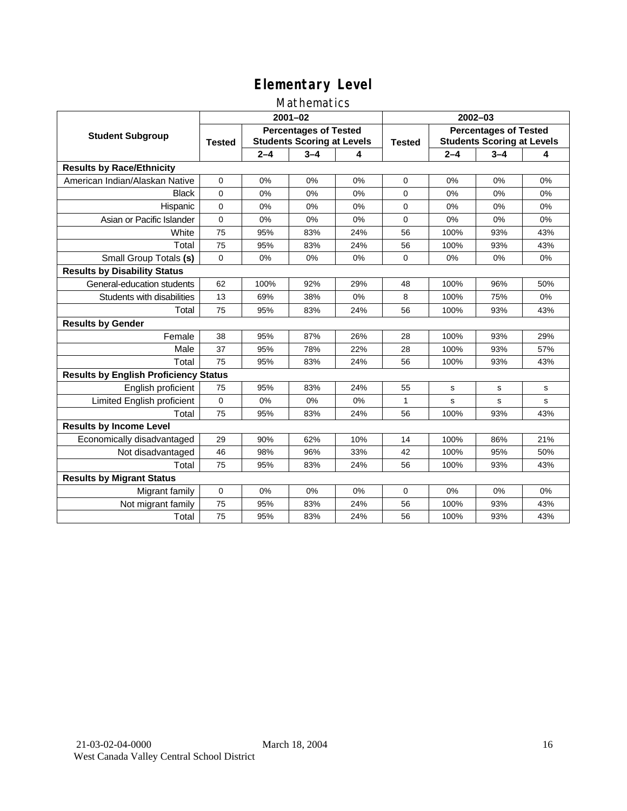### Mathematics

|                                              |                                                                                    |         | $2001 - 02$ |               | $2002 - 03$                                                       |         |         |     |
|----------------------------------------------|------------------------------------------------------------------------------------|---------|-------------|---------------|-------------------------------------------------------------------|---------|---------|-----|
| <b>Student Subgroup</b>                      | <b>Percentages of Tested</b><br><b>Students Scoring at Levels</b><br><b>Tested</b> |         |             | <b>Tested</b> | <b>Percentages of Tested</b><br><b>Students Scoring at Levels</b> |         |         |     |
|                                              |                                                                                    | $2 - 4$ | $3 - 4$     | 4             |                                                                   | $2 - 4$ | $3 - 4$ | 4   |
| <b>Results by Race/Ethnicity</b>             |                                                                                    |         |             |               |                                                                   |         |         |     |
| American Indian/Alaskan Native               | $\Omega$                                                                           | 0%      | 0%          | 0%            | $\Omega$                                                          | 0%      | 0%      | 0%  |
| <b>Black</b>                                 | $\Omega$                                                                           | $0\%$   | 0%          | 0%            | $\Omega$                                                          | 0%      | 0%      | 0%  |
| Hispanic                                     | $\Omega$                                                                           | 0%      | 0%          | 0%            | $\Omega$                                                          | 0%      | 0%      | 0%  |
| Asian or Pacific Islander                    | 0                                                                                  | 0%      | 0%          | 0%            | 0                                                                 | 0%      | 0%      | 0%  |
| White                                        | 75                                                                                 | 95%     | 83%         | 24%           | 56                                                                | 100%    | 93%     | 43% |
| Total                                        | 75                                                                                 | 95%     | 83%         | 24%           | 56                                                                | 100%    | 93%     | 43% |
| Small Group Totals (s)                       | 0                                                                                  | 0%      | 0%          | 0%            | $\mathbf 0$                                                       | 0%      | 0%      | 0%  |
| <b>Results by Disability Status</b>          |                                                                                    |         |             |               |                                                                   |         |         |     |
| General-education students                   | 62                                                                                 | 100%    | 92%         | 29%           | 48                                                                | 100%    | 96%     | 50% |
| Students with disabilities                   | 13                                                                                 | 69%     | 38%         | 0%            | 8                                                                 | 100%    | 75%     | 0%  |
| Total                                        | 75                                                                                 | 95%     | 83%         | 24%           | 56                                                                | 100%    | 93%     | 43% |
| <b>Results by Gender</b>                     |                                                                                    |         |             |               |                                                                   |         |         |     |
| Female                                       | 38                                                                                 | 95%     | 87%         | 26%           | 28                                                                | 100%    | 93%     | 29% |
| Male                                         | 37                                                                                 | 95%     | 78%         | 22%           | 28                                                                | 100%    | 93%     | 57% |
| Total                                        | 75                                                                                 | 95%     | 83%         | 24%           | 56                                                                | 100%    | 93%     | 43% |
| <b>Results by English Proficiency Status</b> |                                                                                    |         |             |               |                                                                   |         |         |     |
| English proficient                           | 75                                                                                 | 95%     | 83%         | 24%           | 55                                                                | s       | s       | s   |
| Limited English proficient                   | 0                                                                                  | 0%      | 0%          | 0%            | 1                                                                 | s       | s       | s   |
| Total                                        | 75                                                                                 | 95%     | 83%         | 24%           | 56                                                                | 100%    | 93%     | 43% |
| <b>Results by Income Level</b>               |                                                                                    |         |             |               |                                                                   |         |         |     |
| Economically disadvantaged                   | 29                                                                                 | 90%     | 62%         | 10%           | 14                                                                | 100%    | 86%     | 21% |
| Not disadvantaged                            | 46                                                                                 | 98%     | 96%         | 33%           | 42                                                                | 100%    | 95%     | 50% |
| Total                                        | 75                                                                                 | 95%     | 83%         | 24%           | 56                                                                | 100%    | 93%     | 43% |
| <b>Results by Migrant Status</b>             |                                                                                    |         |             |               |                                                                   |         |         |     |
| Migrant family                               | 0                                                                                  | 0%      | 0%          | 0%            | $\mathbf 0$                                                       | 0%      | $0\%$   | 0%  |
| Not migrant family                           | 75                                                                                 | 95%     | 83%         | 24%           | 56                                                                | 100%    | 93%     | 43% |
| Total                                        | 75                                                                                 | 95%     | 83%         | 24%           | 56                                                                | 100%    | 93%     | 43% |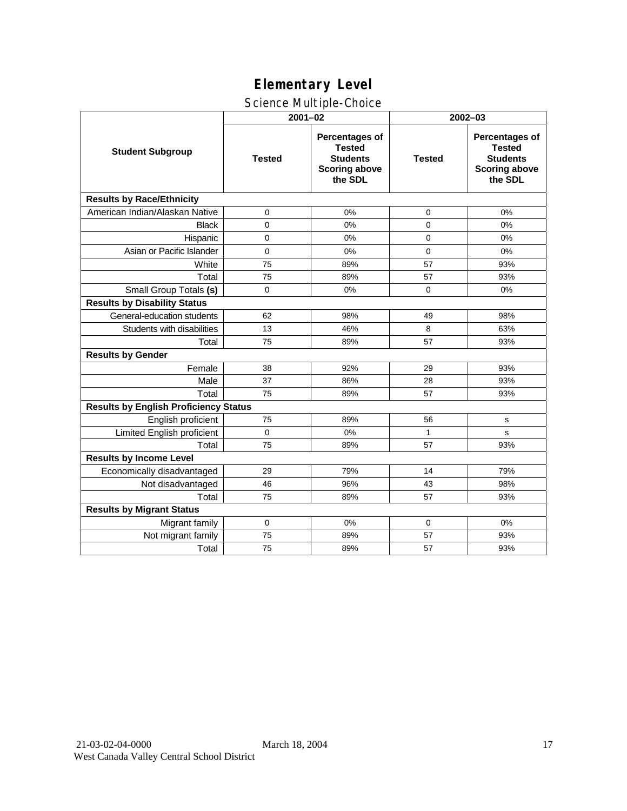## Science Multiple-Choice

|                                              | $2001 - 02$   |                                                                                              |               | 2002-03                                                                                      |  |  |  |
|----------------------------------------------|---------------|----------------------------------------------------------------------------------------------|---------------|----------------------------------------------------------------------------------------------|--|--|--|
| <b>Student Subgroup</b>                      | <b>Tested</b> | <b>Percentages of</b><br><b>Tested</b><br><b>Students</b><br><b>Scoring above</b><br>the SDL | <b>Tested</b> | <b>Percentages of</b><br><b>Tested</b><br><b>Students</b><br><b>Scoring above</b><br>the SDL |  |  |  |
| <b>Results by Race/Ethnicity</b>             |               |                                                                                              |               |                                                                                              |  |  |  |
| American Indian/Alaskan Native               | 0             | 0%                                                                                           | 0             | 0%                                                                                           |  |  |  |
| <b>Black</b>                                 | $\Omega$      | 0%                                                                                           | $\Omega$      | 0%                                                                                           |  |  |  |
| Hispanic                                     | $\mathbf 0$   | 0%                                                                                           | 0             | 0%                                                                                           |  |  |  |
| Asian or Pacific Islander                    | $\Omega$      | 0%                                                                                           | $\Omega$      | 0%                                                                                           |  |  |  |
| White                                        | 75            | 89%                                                                                          | 57            | 93%                                                                                          |  |  |  |
| Total                                        | 75            | 89%                                                                                          | 57            | 93%                                                                                          |  |  |  |
| Small Group Totals (s)                       | 0             | 0%                                                                                           | $\mathbf 0$   | 0%                                                                                           |  |  |  |
| <b>Results by Disability Status</b>          |               |                                                                                              |               |                                                                                              |  |  |  |
| General-education students                   | 62            | 98%                                                                                          | 49            | 98%                                                                                          |  |  |  |
| Students with disabilities                   | 13            | 46%                                                                                          | 8             | 63%                                                                                          |  |  |  |
| Total                                        | 75            | 89%                                                                                          | 57            | 93%                                                                                          |  |  |  |
| <b>Results by Gender</b>                     |               |                                                                                              |               |                                                                                              |  |  |  |
| Female                                       | 38            | 92%                                                                                          | 29            | 93%                                                                                          |  |  |  |
| Male                                         | 37            | 86%                                                                                          | 28            | 93%                                                                                          |  |  |  |
| Total                                        | 75            | 89%                                                                                          | 57            | 93%                                                                                          |  |  |  |
| <b>Results by English Proficiency Status</b> |               |                                                                                              |               |                                                                                              |  |  |  |
| English proficient                           | 75            | 89%                                                                                          | 56            | s                                                                                            |  |  |  |
| Limited English proficient                   | $\mathbf 0$   | 0%                                                                                           | $\mathbf{1}$  | s                                                                                            |  |  |  |
| Total                                        | 75            | 89%                                                                                          | 57            | 93%                                                                                          |  |  |  |
| <b>Results by Income Level</b>               |               |                                                                                              |               |                                                                                              |  |  |  |
| Economically disadvantaged                   | 29            | 79%                                                                                          | 14            | 79%                                                                                          |  |  |  |
| Not disadvantaged                            | 46            | 96%                                                                                          | 43            | 98%                                                                                          |  |  |  |
| Total                                        | 75            | 89%                                                                                          | 57            | 93%                                                                                          |  |  |  |
| <b>Results by Migrant Status</b>             |               |                                                                                              |               |                                                                                              |  |  |  |
| Migrant family                               | 0             | 0%                                                                                           | $\mathbf 0$   | 0%                                                                                           |  |  |  |
| Not migrant family                           | 75            | 89%                                                                                          | 57            | 93%                                                                                          |  |  |  |
| Total                                        | 75            | 89%                                                                                          | 57            | 93%                                                                                          |  |  |  |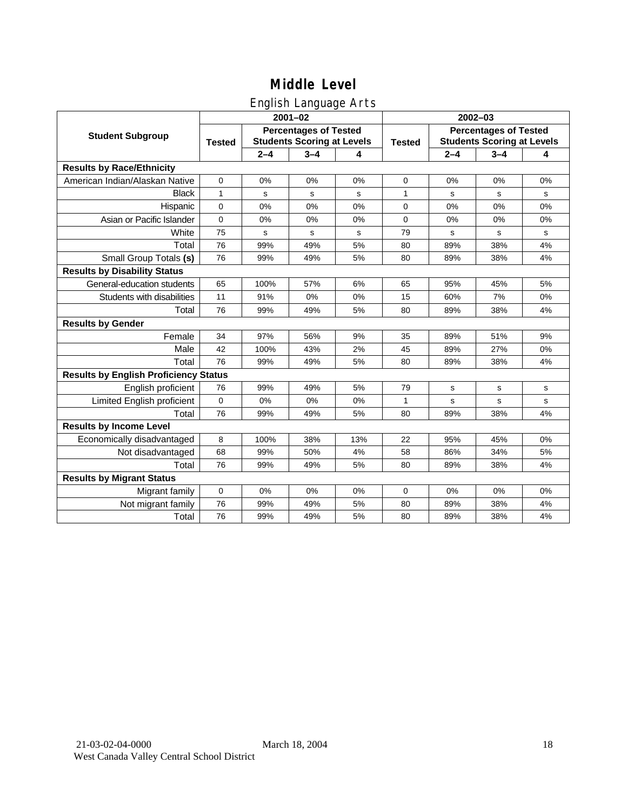## English Language Arts

|                                              | $2001 - 02$                                                                        |         |             |               | 2002-03                                                           |         |             |           |
|----------------------------------------------|------------------------------------------------------------------------------------|---------|-------------|---------------|-------------------------------------------------------------------|---------|-------------|-----------|
| <b>Student Subgroup</b>                      | <b>Percentages of Tested</b><br><b>Students Scoring at Levels</b><br><b>Tested</b> |         |             | <b>Tested</b> | <b>Percentages of Tested</b><br><b>Students Scoring at Levels</b> |         |             |           |
|                                              |                                                                                    | $2 - 4$ | $3 - 4$     | 4             |                                                                   | $2 - 4$ | $3 - 4$     | 4         |
| <b>Results by Race/Ethnicity</b>             |                                                                                    |         |             |               |                                                                   |         |             |           |
| American Indian/Alaskan Native               | $\mathbf 0$                                                                        | 0%      | 0%          | 0%            | $\mathbf 0$                                                       | 0%      | 0%          | 0%        |
| <b>Black</b>                                 | 1                                                                                  | s       | s           | s             | 1                                                                 | s       | s           | s         |
| Hispanic                                     | 0                                                                                  | 0%      | 0%          | 0%            | $\mathbf 0$                                                       | 0%      | 0%          | 0%        |
| Asian or Pacific Islander                    | $\mathbf 0$                                                                        | 0%      | 0%          | 0%            | 0                                                                 | 0%      | 0%          | 0%        |
| White                                        | 75                                                                                 | s       | $\mathbf s$ | s             | 79                                                                | s       | s           | s         |
| Total                                        | 76                                                                                 | 99%     | 49%         | 5%            | 80                                                                | 89%     | 38%         | 4%        |
| Small Group Totals (s)                       | 76                                                                                 | 99%     | 49%         | 5%            | 80                                                                | 89%     | 38%         | 4%        |
| <b>Results by Disability Status</b>          |                                                                                    |         |             |               |                                                                   |         |             |           |
| General-education students                   | 65                                                                                 | 100%    | 57%         | 6%            | 65                                                                | 95%     | 45%         | 5%        |
| Students with disabilities                   | 11                                                                                 | 91%     | 0%          | 0%            | 15                                                                | 60%     | 7%          | 0%        |
| Total                                        | 76                                                                                 | 99%     | 49%         | 5%            | 80                                                                | 89%     | 38%         | 4%        |
| <b>Results by Gender</b>                     |                                                                                    |         |             |               |                                                                   |         |             |           |
| Female                                       | 34                                                                                 | 97%     | 56%         | 9%            | 35                                                                | 89%     | 51%         | 9%        |
| Male                                         | 42                                                                                 | 100%    | 43%         | 2%            | 45                                                                | 89%     | 27%         | 0%        |
| Total                                        | 76                                                                                 | 99%     | 49%         | 5%            | 80                                                                | 89%     | 38%         | 4%        |
| <b>Results by English Proficiency Status</b> |                                                                                    |         |             |               |                                                                   |         |             |           |
| English proficient                           | 76                                                                                 | 99%     | 49%         | 5%            | 79                                                                | s       | $\mathbf s$ | s         |
| Limited English proficient                   | 0                                                                                  | 0%      | 0%          | 0%            | 1                                                                 | s       | s           | ${\tt s}$ |
| Total                                        | 76                                                                                 | 99%     | 49%         | 5%            | 80                                                                | 89%     | 38%         | 4%        |
| <b>Results by Income Level</b>               |                                                                                    |         |             |               |                                                                   |         |             |           |
| Economically disadvantaged                   | 8                                                                                  | 100%    | 38%         | 13%           | 22                                                                | 95%     | 45%         | 0%        |
| Not disadvantaged                            | 68                                                                                 | 99%     | 50%         | 4%            | 58                                                                | 86%     | 34%         | 5%        |
| Total                                        | 76                                                                                 | 99%     | 49%         | 5%            | 80                                                                | 89%     | 38%         | 4%        |
| <b>Results by Migrant Status</b>             |                                                                                    |         |             |               |                                                                   |         |             |           |
| Migrant family                               | $\mathbf 0$                                                                        | 0%      | 0%          | 0%            | 0                                                                 | 0%      | 0%          | 0%        |
| Not migrant family                           | 76                                                                                 | 99%     | 49%         | 5%            | 80                                                                | 89%     | 38%         | 4%        |
| Total                                        | 76                                                                                 | 99%     | 49%         | 5%            | 80                                                                | 89%     | 38%         | 4%        |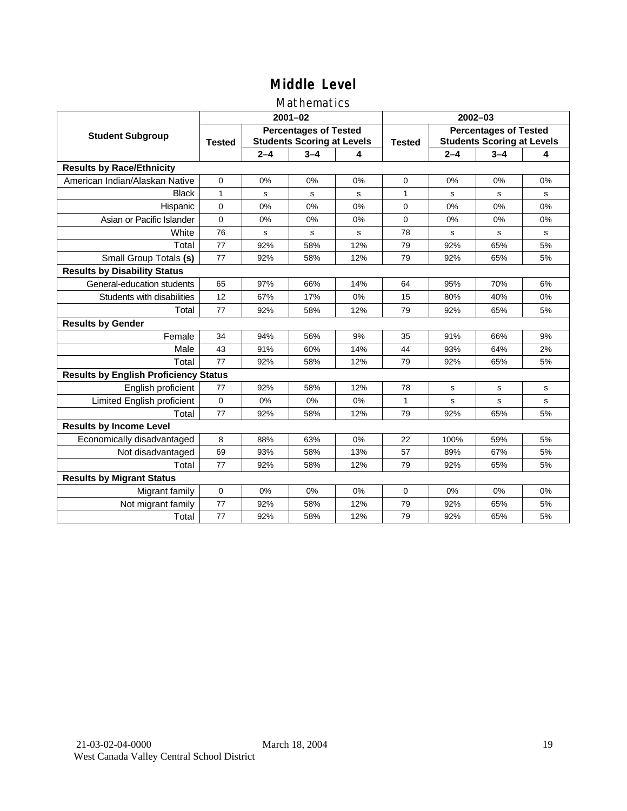### Mathematics

|                                              |               |                                                                   | $2001 - 02$ |     | $2002 - 03$   |                                                                   |             |              |
|----------------------------------------------|---------------|-------------------------------------------------------------------|-------------|-----|---------------|-------------------------------------------------------------------|-------------|--------------|
| <b>Student Subgroup</b>                      | <b>Tested</b> | <b>Percentages of Tested</b><br><b>Students Scoring at Levels</b> |             |     | <b>Tested</b> | <b>Percentages of Tested</b><br><b>Students Scoring at Levels</b> |             |              |
|                                              |               | $2 - 4$                                                           | $3 - 4$     | 4   |               | $2 - 4$                                                           | $3 - 4$     | 4            |
| <b>Results by Race/Ethnicity</b>             |               |                                                                   |             |     |               |                                                                   |             |              |
| American Indian/Alaskan Native               | $\Omega$      | 0%                                                                | 0%          | 0%  | $\Omega$      | 0%                                                                | 0%          | 0%           |
| <b>Black</b>                                 | 1             | s                                                                 | s           | s   | 1             | S                                                                 | s           | s            |
| Hispanic                                     | $\Omega$      | 0%                                                                | 0%          | 0%  | $\Omega$      | 0%                                                                | 0%          | 0%           |
| Asian or Pacific Islander                    | $\mathbf 0$   | 0%                                                                | 0%          | 0%  | 0             | 0%                                                                | 0%          | 0%           |
| White                                        | 76            | s                                                                 | $\mathbf s$ | S   | 78            | s                                                                 | $\mathbf s$ | ${\tt s}$    |
| Total                                        | 77            | 92%                                                               | 58%         | 12% | 79            | 92%                                                               | 65%         | 5%           |
| Small Group Totals (s)                       | 77            | 92%                                                               | 58%         | 12% | 79            | 92%                                                               | 65%         | 5%           |
| <b>Results by Disability Status</b>          |               |                                                                   |             |     |               |                                                                   |             |              |
| General-education students                   | 65            | 97%                                                               | 66%         | 14% | 64            | 95%                                                               | 70%         | 6%           |
| Students with disabilities                   | 12            | 67%                                                               | 17%         | 0%  | 15            | 80%                                                               | 40%         | 0%           |
| Total                                        | 77            | 92%                                                               | 58%         | 12% | 79            | 92%                                                               | 65%         | 5%           |
| <b>Results by Gender</b>                     |               |                                                                   |             |     |               |                                                                   |             |              |
| Female                                       | 34            | 94%                                                               | 56%         | 9%  | 35            | 91%                                                               | 66%         | 9%           |
| Male                                         | 43            | 91%                                                               | 60%         | 14% | 44            | 93%                                                               | 64%         | 2%           |
| Total                                        | 77            | 92%                                                               | 58%         | 12% | 79            | 92%                                                               | 65%         | 5%           |
| <b>Results by English Proficiency Status</b> |               |                                                                   |             |     |               |                                                                   |             |              |
| English proficient                           | 77            | 92%                                                               | 58%         | 12% | 78            | s                                                                 | s           | s            |
| Limited English proficient                   | 0             | 0%                                                                | 0%          | 0%  | $\mathbf{1}$  | s                                                                 | s           | $\mathsf{s}$ |
| Total                                        | 77            | 92%                                                               | 58%         | 12% | 79            | 92%                                                               | 65%         | 5%           |
| <b>Results by Income Level</b>               |               |                                                                   |             |     |               |                                                                   |             |              |
| Economically disadvantaged                   | 8             | 88%                                                               | 63%         | 0%  | 22            | 100%                                                              | 59%         | 5%           |
| Not disadvantaged                            | 69            | 93%                                                               | 58%         | 13% | 57            | 89%                                                               | 67%         | 5%           |
| Total                                        | 77            | 92%                                                               | 58%         | 12% | 79            | 92%                                                               | 65%         | 5%           |
| <b>Results by Migrant Status</b>             |               |                                                                   |             |     |               |                                                                   |             |              |
| Migrant family                               | 0             | 0%                                                                | 0%          | 0%  | 0             | 0%                                                                | 0%          | 0%           |
| Not migrant family                           | 77            | 92%                                                               | 58%         | 12% | 79            | 92%                                                               | 65%         | 5%           |
| Total                                        | 77            | 92%                                                               | 58%         | 12% | 79            | 92%                                                               | 65%         | 5%           |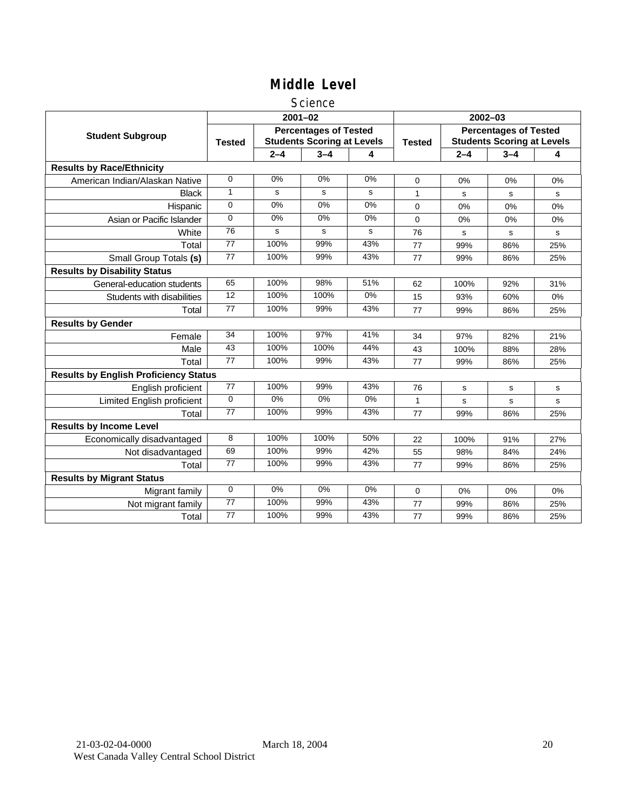### **Science**

|                                              |                 |         | $2001 - 02$                                                       |       | $2002 - 03$   |                                                                   |         |     |  |
|----------------------------------------------|-----------------|---------|-------------------------------------------------------------------|-------|---------------|-------------------------------------------------------------------|---------|-----|--|
| <b>Student Subgroup</b>                      | <b>Tested</b>   |         | <b>Percentages of Tested</b><br><b>Students Scoring at Levels</b> |       | <b>Tested</b> | <b>Percentages of Tested</b><br><b>Students Scoring at Levels</b> |         |     |  |
|                                              |                 | $2 - 4$ | $3 - 4$                                                           | 4     |               | $2 - 4$                                                           | $3 - 4$ | 4   |  |
| <b>Results by Race/Ethnicity</b>             |                 |         |                                                                   |       |               |                                                                   |         |     |  |
| American Indian/Alaskan Native               | 0               | 0%      | 0%                                                                | 0%    | $\Omega$      | 0%                                                                | 0%      | 0%  |  |
| <b>Black</b>                                 | 1               | s       | s                                                                 | s     | 1             | s                                                                 | s       | s   |  |
| Hispanic                                     | 0               | 0%      | 0%                                                                | 0%    | $\Omega$      | 0%                                                                | 0%      | 0%  |  |
| Asian or Pacific Islander                    | $\Omega$        | 0%      | 0%                                                                | 0%    | 0             | 0%                                                                | 0%      | 0%  |  |
| White                                        | 76              | s       | s                                                                 | s     | 76            | $\mathbf s$                                                       | s       | s   |  |
| Total                                        | 77              | 100%    | 99%                                                               | 43%   | 77            | 99%                                                               | 86%     | 25% |  |
| Small Group Totals (s)                       | 77              | 100%    | 99%                                                               | 43%   | 77            | 99%                                                               | 86%     | 25% |  |
| <b>Results by Disability Status</b>          |                 |         |                                                                   |       |               |                                                                   |         |     |  |
| General-education students                   | 65              | 100%    | 98%                                                               | 51%   | 62            | 100%                                                              | 92%     | 31% |  |
| Students with disabilities                   | 12              | 100%    | 100%                                                              | $0\%$ | 15            | 93%                                                               | 60%     | 0%  |  |
| Total                                        | 77              | 100%    | 99%                                                               | 43%   | 77            | 99%                                                               | 86%     | 25% |  |
| <b>Results by Gender</b>                     |                 |         |                                                                   |       |               |                                                                   |         |     |  |
| Female                                       | $\overline{34}$ | 100%    | 97%                                                               | 41%   | 34            | 97%                                                               | 82%     | 21% |  |
| Male                                         | 43              | 100%    | 100%                                                              | 44%   | 43            | 100%                                                              | 88%     | 28% |  |
| Total                                        | 77              | 100%    | 99%                                                               | 43%   | 77            | 99%                                                               | 86%     | 25% |  |
| <b>Results by English Proficiency Status</b> |                 |         |                                                                   |       |               |                                                                   |         |     |  |
| English proficient                           | $\overline{77}$ | 100%    | 99%                                                               | 43%   | 76            | s                                                                 | s       | s   |  |
| <b>Limited English proficient</b>            | 0               | $0\%$   | 0%                                                                | $0\%$ | 1             | s                                                                 | s       | s   |  |
| Total                                        | 77              | 100%    | 99%                                                               | 43%   | 77            | 99%                                                               | 86%     | 25% |  |
| <b>Results by Income Level</b>               |                 |         |                                                                   |       |               |                                                                   |         |     |  |
| Economically disadvantaged                   | 8               | 100%    | 100%                                                              | 50%   | 22            | 100%                                                              | 91%     | 27% |  |
| Not disadvantaged                            | 69              | 100%    | 99%                                                               | 42%   | 55            | 98%                                                               | 84%     | 24% |  |
| Total                                        | 77              | 100%    | 99%                                                               | 43%   | 77            | 99%                                                               | 86%     | 25% |  |
| <b>Results by Migrant Status</b>             |                 |         |                                                                   |       |               |                                                                   |         |     |  |
| Migrant family                               | 0               | 0%      | 0%                                                                | 0%    | 0             | 0%                                                                | 0%      | 0%  |  |
| Not migrant family                           | $\overline{77}$ | 100%    | 99%                                                               | 43%   | 77            | 99%                                                               | 86%     | 25% |  |
| Total                                        | 77              | 100%    | 99%                                                               | 43%   | 77            | 99%                                                               | 86%     | 25% |  |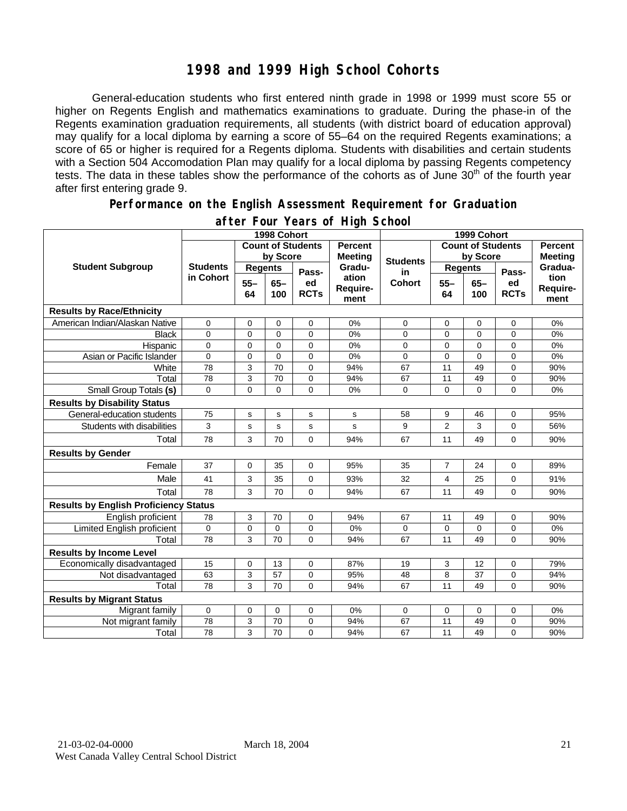### **1998 and 1999 High School Cohorts**

General-education students who first entered ninth grade in 1998 or 1999 must score 55 or higher on Regents English and mathematics examinations to graduate. During the phase-in of the Regents examination graduation requirements, all students (with district board of education approval) may qualify for a local diploma by earning a score of 55–64 on the required Regents examinations; a score of 65 or higher is required for a Regents diploma. Students with disabilities and certain students with a Section 504 Accomodation Plan may qualify for a local diploma by passing Regents competency tests. The data in these tables show the performance of the cohorts as of June 30<sup>th</sup> of the fourth year after first entering grade 9.

#### **Performance on the English Assessment Requirement for Graduation**

|                                              |                              | 1998 Cohort              |               | 1999 Cohort       |                                  |                 |                          |                |                                  |                          |
|----------------------------------------------|------------------------------|--------------------------|---------------|-------------------|----------------------------------|-----------------|--------------------------|----------------|----------------------------------|--------------------------|
|                                              |                              | <b>Count of Students</b> |               |                   | <b>Percent</b><br><b>Meeting</b> |                 | <b>Count of Students</b> |                | <b>Percent</b><br><b>Meeting</b> |                          |
|                                              | <b>Students</b><br>in Cohort | by Score                 |               |                   |                                  | <b>Students</b> | by Score                 |                |                                  |                          |
| <b>Student Subgroup</b>                      |                              | <b>Regents</b>           |               | Pass-             | Gradu-                           | in              | <b>Regents</b>           |                | Pass-                            | Gradua-                  |
|                                              |                              | $55 -$<br>64             | $65 -$<br>100 | ed<br><b>RCTs</b> | ation<br>Require-<br>ment        | <b>Cohort</b>   | $55 -$<br>64             | $65 -$<br>100  | ed<br><b>RCTs</b>                | tion<br>Require-<br>ment |
| <b>Results by Race/Ethnicity</b>             |                              |                          |               |                   |                                  |                 |                          |                |                                  |                          |
| American Indian/Alaskan Native               | $\mathbf 0$                  | $\mathbf 0$              | 0             | 0                 | 0%                               | 0               | 0                        | 0              | 0                                | 0%                       |
| Black                                        | 0                            | $\mathbf 0$              | 0             | 0                 | 0%                               | 0               | 0                        | 0              | 0                                | 0%                       |
| Hispanic                                     | 0                            | $\mathbf 0$              | $\Omega$      | $\overline{0}$    | 0%                               | 0               | $\mathbf 0$              | $\overline{0}$ | 0                                | 0%                       |
| Asian or Pacific Islander                    | 0                            | $\mathbf 0$              | $\mathbf 0$   | 0                 | 0%                               | $\mathbf 0$     | $\mathbf 0$              | 0              | 0                                | 0%                       |
| White                                        | 78                           | 3                        | 70            | $\overline{0}$    | 94%                              | 67              | 11                       | 49             | $\overline{0}$                   | 90%                      |
| Total                                        | 78                           | 3                        | 70            | 0                 | 94%                              | 67              | 11                       | 49             | 0                                | 90%                      |
| <b>Small Group Totals (s)</b>                | $\mathbf 0$                  | $\overline{0}$           | $\mathbf 0$   | $\overline{0}$    | 0%                               | 0               | $\mathbf 0$              | $\Omega$       | $\Omega$                         | 0%                       |
| <b>Results by Disability Status</b>          |                              |                          |               |                   |                                  |                 |                          |                |                                  |                          |
| General-education students                   | 75                           | $\mathbf s$              | s             | s                 | s                                | 58              | 9                        | 46             | 0                                | 95%                      |
| Students with disabilities                   | 3                            | s                        | s             | s                 | s                                | 9               | $\overline{2}$           | 3              | $\Omega$                         | 56%                      |
| Total                                        | 78                           | 3                        | 70            | 0                 | 94%                              | 67              | 11                       | 49             | 0                                | 90%                      |
| <b>Results by Gender</b>                     |                              |                          |               |                   |                                  |                 |                          |                |                                  |                          |
| Female                                       | 37                           | $\mathbf 0$              | 35            | 0                 | 95%                              | 35              | $\overline{7}$           | 24             | 0                                | 89%                      |
| Male                                         | 41                           | 3                        | 35            | 0                 | 93%                              | 32              | 4                        | 25             | 0                                | 91%                      |
| Total                                        | 78                           | 3                        | 70            | 0                 | 94%                              | 67              | 11                       | 49             | 0                                | 90%                      |
| <b>Results by English Proficiency Status</b> |                              |                          |               |                   |                                  |                 |                          |                |                                  |                          |
| English proficient                           | 78                           | 3                        | 70            | 0                 | 94%                              | 67              | 11                       | 49             | 0                                | 90%                      |
| Limited English proficient                   | $\mathbf 0$                  | $\mathbf 0$              | $\mathbf 0$   | 0                 | 0%                               | 0               | $\mathbf 0$              | 0              | 0                                | 0%                       |
| Total                                        | 78                           | 3                        | 70            | 0                 | 94%                              | 67              | 11                       | 49             | 0                                | 90%                      |
| <b>Results by Income Level</b>               |                              |                          |               |                   |                                  |                 |                          |                |                                  |                          |
| Economically disadvantaged                   | 15                           | $\mathbf 0$              | 13            | $\mathbf 0$       | 87%                              | 19              | 3                        | 12             | 0                                | 79%                      |
| Not disadvantaged                            | 63                           | 3                        | 57            | 0                 | 95%                              | 48              | 8                        | 37             | 0                                | 94%                      |
| Total                                        | 78                           | 3                        | 70            | 0                 | 94%                              | 67              | 11                       | 49             | $\Omega$                         | 90%                      |
| <b>Results by Migrant Status</b>             |                              |                          |               |                   |                                  |                 |                          |                |                                  |                          |
| Migrant family                               | 0                            | $\mathbf 0$              | $\mathbf 0$   | $\mathbf 0$       | 0%                               | 0               | $\mathbf 0$              | 0              | 0                                | 0%                       |
| Not migrant family                           | 78                           | 3                        | 70            | 0                 | 94%                              | 67              | 11                       | 49             | 0                                | 90%                      |
| Total                                        | 78                           | 3                        | 70            | $\mathbf 0$       | 94%                              | 67              | 11                       | 49             | $\Omega$                         | 90%                      |

### **after Four Years of High School**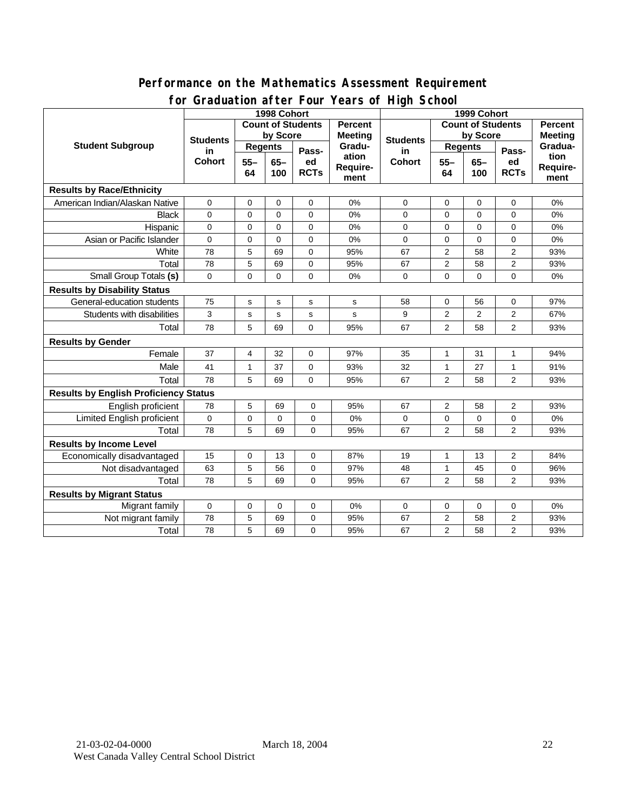### **Performance on the Mathematics Assessment Requirement for Graduation after Four Years of High School**

|                                              | $2.501 + 0.01$<br>1998 Cohort | $1041301 \cdot 10911001$<br>1999 Cohort |               |                   |                           |                          |                |                |                   |                          |
|----------------------------------------------|-------------------------------|-----------------------------------------|---------------|-------------------|---------------------------|--------------------------|----------------|----------------|-------------------|--------------------------|
|                                              | <b>Count of Students</b>      |                                         |               | <b>Percent</b>    |                           | <b>Count of Students</b> |                |                | <b>Percent</b>    |                          |
|                                              | <b>Students</b>               | by Score                                |               |                   | <b>Meeting</b>            | <b>Students</b>          | by Score       |                | <b>Meeting</b>    |                          |
| <b>Student Subgroup</b>                      | in<br><b>Cohort</b>           | <b>Regents</b>                          |               | Pass-             | Gradu-                    | in                       | <b>Regents</b> |                | Pass-             | Gradua-                  |
|                                              |                               | $55 -$<br>64                            | $65 -$<br>100 | ed<br><b>RCTs</b> | ation<br>Require-<br>ment | <b>Cohort</b>            | $55 -$<br>64   | $65-$<br>100   | ed<br><b>RCTs</b> | tion<br>Require-<br>ment |
| <b>Results by Race/Ethnicity</b>             |                               |                                         |               |                   |                           |                          |                |                |                   |                          |
| American Indian/Alaskan Native               | $\mathbf 0$                   | $\mathbf 0$                             | $\mathbf 0$   | $\mathbf 0$       | 0%                        | $\mathbf 0$              | $\mathbf 0$    | $\mathbf 0$    | 0                 | 0%                       |
| <b>Black</b>                                 | $\mathbf 0$                   | $\mathbf 0$                             | $\mathbf 0$   | $\mathbf 0$       | 0%                        | 0                        | $\mathbf 0$    | $\mathbf 0$    | 0                 | 0%                       |
| Hispanic                                     | 0                             | $\mathbf 0$                             | $\Omega$      | $\mathbf 0$       | 0%                        | $\mathbf 0$              | $\Omega$       | $\mathbf 0$    | 0                 | 0%                       |
| Asian or Pacific Islander                    | 0                             | $\mathbf 0$                             | $\mathbf 0$   | 0                 | 0%                        | $\mathbf 0$              | $\mathbf 0$    | 0              | 0                 | 0%                       |
| White                                        | 78                            | 5                                       | 69            | 0                 | 95%                       | 67                       | $\overline{2}$ | 58             | $\overline{2}$    | 93%                      |
| Total                                        | 78                            | 5                                       | 69            | 0                 | 95%                       | 67                       | 2              | 58             | $\mathbf{2}$      | 93%                      |
| Small Group Totals (s)                       | $\Omega$                      | $\Omega$                                | $\Omega$      | $\Omega$          | 0%                        | $\Omega$                 | $\Omega$       | $\Omega$       | $\Omega$          | 0%                       |
| <b>Results by Disability Status</b>          |                               |                                         |               |                   |                           |                          |                |                |                   |                          |
| General-education students                   | 75                            | s                                       | s             | $\mathbf s$       | s                         | 58                       | 0              | 56             | 0                 | 97%                      |
| Students with disabilities                   | 3                             | s                                       | s             | s                 | s                         | 9                        | $\overline{2}$ | $\overline{2}$ | 2                 | 67%                      |
| Total                                        | 78                            | 5                                       | 69            | $\Omega$          | 95%                       | 67                       | $\overline{2}$ | 58             | $\overline{2}$    | 93%                      |
| <b>Results by Gender</b>                     |                               |                                         |               |                   |                           |                          |                |                |                   |                          |
| Female                                       | 37                            | 4                                       | 32            | 0                 | 97%                       | 35                       | 1              | 31             | 1                 | 94%                      |
| Male                                         | 41                            | 1                                       | 37            | 0                 | 93%                       | 32                       | 1              | 27             | 1                 | 91%                      |
| Total                                        | 78                            | 5                                       | 69            | $\Omega$          | 95%                       | 67                       | 2              | 58             | $\overline{2}$    | 93%                      |
| <b>Results by English Proficiency Status</b> |                               |                                         |               |                   |                           |                          |                |                |                   |                          |
| English proficient                           | 78                            | 5                                       | 69            | 0                 | 95%                       | 67                       | 2              | 58             | 2                 | 93%                      |
| Limited English proficient                   | 0                             | $\mathbf 0$                             | 0             | 0                 | 0%                        | 0                        | $\mathbf 0$    | $\mathbf 0$    | 0                 | 0%                       |
| Total                                        | 78                            | 5                                       | 69            | $\Omega$          | 95%                       | 67                       | $\overline{2}$ | 58             | $\overline{2}$    | 93%                      |
| <b>Results by Income Level</b>               |                               |                                         |               |                   |                           |                          |                |                |                   |                          |
| Economically disadvantaged                   | 15                            | $\mathbf 0$                             | 13            | $\mathbf 0$       | 87%                       | 19                       | $\mathbf{1}$   | 13             | $\overline{2}$    | 84%                      |
| Not disadvantaged                            | 63                            | 5                                       | 56            | 0                 | 97%                       | 48                       | $\mathbf{1}$   | 45             | 0                 | 96%                      |
| Total                                        | 78                            | 5                                       | 69            | $\Omega$          | 95%                       | 67                       | $\overline{2}$ | 58             | $\overline{2}$    | 93%                      |
| <b>Results by Migrant Status</b>             |                               |                                         |               |                   |                           |                          |                |                |                   |                          |
| Migrant family                               | $\mathsf{O}\xspace$           | 0                                       | 0             | 0                 | 0%                        | 0                        | 0              | 0              | 0                 | 0%                       |
| Not migrant family                           | 78                            | 5                                       | 69            | 0                 | 95%                       | 67                       | 2              | 58             | $\mathbf{2}$      | 93%                      |
| Total                                        | 78                            | 5                                       | 69            | 0                 | 95%                       | 67                       | $\overline{c}$ | 58             | $\overline{2}$    | 93%                      |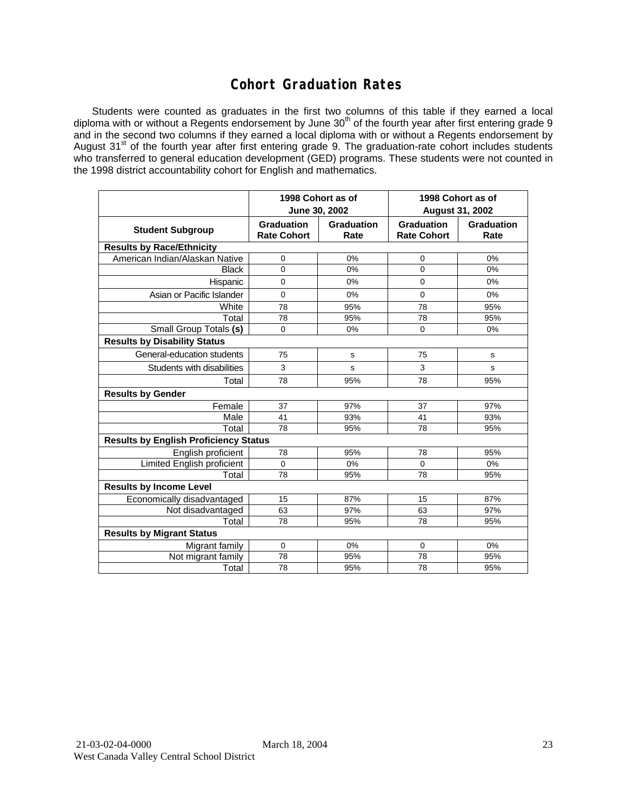### **Cohort Graduation Rates**

Students were counted as graduates in the first two columns of this table if they earned a local diploma with or without a Regents endorsement by June 30<sup>th</sup> of the fourth year after first entering grade 9 and in the second two columns if they earned a local diploma with or without a Regents endorsement by August 31<sup>st</sup> of the fourth year after first entering grade 9. The graduation-rate cohort includes students who transferred to general education development (GED) programs. These students were not counted in the 1998 district accountability cohort for English and mathematics.

|                                              |                                  | 1998 Cohort as of  | 1998 Cohort as of                       |                           |  |  |  |  |
|----------------------------------------------|----------------------------------|--------------------|-----------------------------------------|---------------------------|--|--|--|--|
|                                              |                                  | June 30, 2002      |                                         | <b>August 31, 2002</b>    |  |  |  |  |
| <b>Student Subgroup</b>                      | Graduation<br><b>Rate Cohort</b> | Graduation<br>Rate | <b>Graduation</b><br><b>Rate Cohort</b> | <b>Graduation</b><br>Rate |  |  |  |  |
| <b>Results by Race/Ethnicity</b>             |                                  |                    |                                         |                           |  |  |  |  |
| American Indian/Alaskan Native               | $\mathbf 0$                      | 0%                 | 0                                       | 0%                        |  |  |  |  |
| <b>Black</b>                                 | $\mathbf 0$                      | 0%                 | $\mathbf 0$                             | 0%                        |  |  |  |  |
| Hispanic                                     | 0                                | 0%                 | $\Omega$                                | $0\%$                     |  |  |  |  |
| Asian or Pacific Islander                    | 0                                | $0\%$              | 0                                       | $0\%$                     |  |  |  |  |
| White                                        | 78                               | 95%                | 78                                      | 95%                       |  |  |  |  |
| Total                                        | 78                               | 95%                | 78                                      | 95%                       |  |  |  |  |
| Small Group Totals (s)                       | $\mathbf 0$                      | 0%                 | $\mathbf 0$                             | 0%                        |  |  |  |  |
| <b>Results by Disability Status</b>          |                                  |                    |                                         |                           |  |  |  |  |
| General-education students                   | 75                               | s                  | 75                                      | s                         |  |  |  |  |
| Students with disabilities                   | 3                                | S                  | 3                                       | S                         |  |  |  |  |
| Total                                        | 78                               | 95%                | 78                                      | 95%                       |  |  |  |  |
| <b>Results by Gender</b>                     |                                  |                    |                                         |                           |  |  |  |  |
| Female                                       | 37                               | 97%                | 37                                      | 97%                       |  |  |  |  |
| Male                                         | 41                               | 93%                | 41                                      | 93%                       |  |  |  |  |
| Total                                        | 78                               | 95%                | 78                                      | 95%                       |  |  |  |  |
| <b>Results by English Proficiency Status</b> |                                  |                    |                                         |                           |  |  |  |  |
| English proficient                           | 78                               | 95%                | 78                                      | 95%                       |  |  |  |  |
| <b>Limited English proficient</b>            | 0                                | 0%                 | 0                                       | 0%                        |  |  |  |  |
| Total                                        | 78                               | 95%                | 78                                      | 95%                       |  |  |  |  |
| <b>Results by Income Level</b>               |                                  |                    |                                         |                           |  |  |  |  |
| Economically disadvantaged                   | 15                               | 87%                | 15                                      | 87%                       |  |  |  |  |
| Not disadvantaged                            | 63                               | 97%                | 63                                      | 97%                       |  |  |  |  |
| Total                                        | 78                               | 95%                | 78                                      | 95%                       |  |  |  |  |
| <b>Results by Migrant Status</b>             |                                  |                    |                                         |                           |  |  |  |  |
| Migrant family                               | $\mathbf 0$                      | $0\%$              | 0                                       | 0%                        |  |  |  |  |
| Not migrant family                           | 78                               | 95%                | 78                                      | 95%                       |  |  |  |  |
| Total                                        | 78                               | 95%                | 78                                      | 95%                       |  |  |  |  |